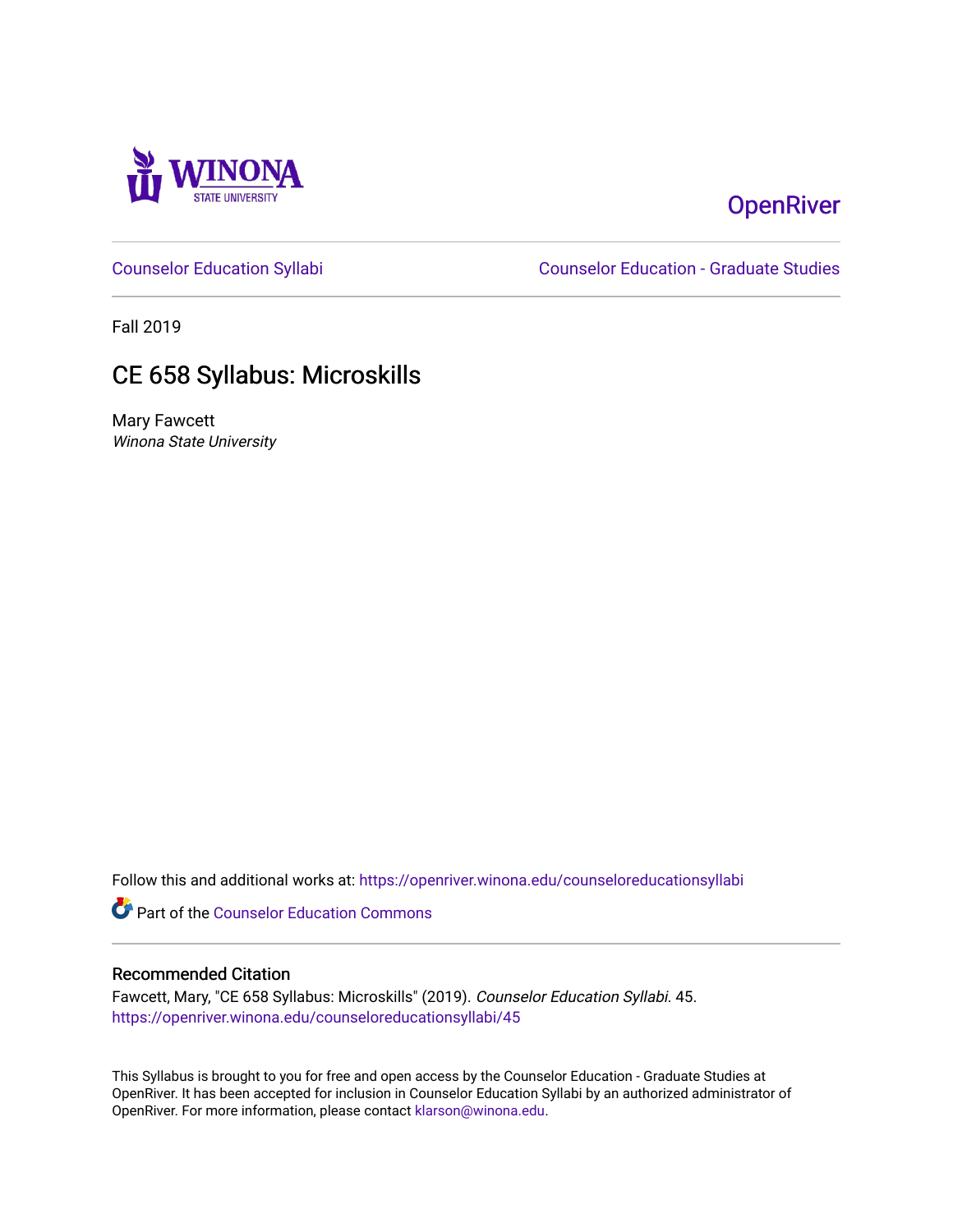

# **OpenRiver**

[Counselor Education Syllabi](https://openriver.winona.edu/counseloreducationsyllabi) [Counselor Education - Graduate Studies](https://openriver.winona.edu/counseloreducation) 

Fall 2019

# CE 658 Syllabus: Microskills

Mary Fawcett Winona State University

Follow this and additional works at: [https://openriver.winona.edu/counseloreducationsyllabi](https://openriver.winona.edu/counseloreducationsyllabi?utm_source=openriver.winona.edu%2Fcounseloreducationsyllabi%2F45&utm_medium=PDF&utm_campaign=PDFCoverPages)

Part of the [Counselor Education Commons](http://network.bepress.com/hgg/discipline/1278?utm_source=openriver.winona.edu%2Fcounseloreducationsyllabi%2F45&utm_medium=PDF&utm_campaign=PDFCoverPages) 

#### Recommended Citation

Fawcett, Mary, "CE 658 Syllabus: Microskills" (2019). Counselor Education Syllabi. 45. [https://openriver.winona.edu/counseloreducationsyllabi/45](https://openriver.winona.edu/counseloreducationsyllabi/45?utm_source=openriver.winona.edu%2Fcounseloreducationsyllabi%2F45&utm_medium=PDF&utm_campaign=PDFCoverPages) 

This Syllabus is brought to you for free and open access by the Counselor Education - Graduate Studies at OpenRiver. It has been accepted for inclusion in Counselor Education Syllabi by an authorized administrator of OpenRiver. For more information, please contact [klarson@winona.edu](mailto:klarson@winona.edu).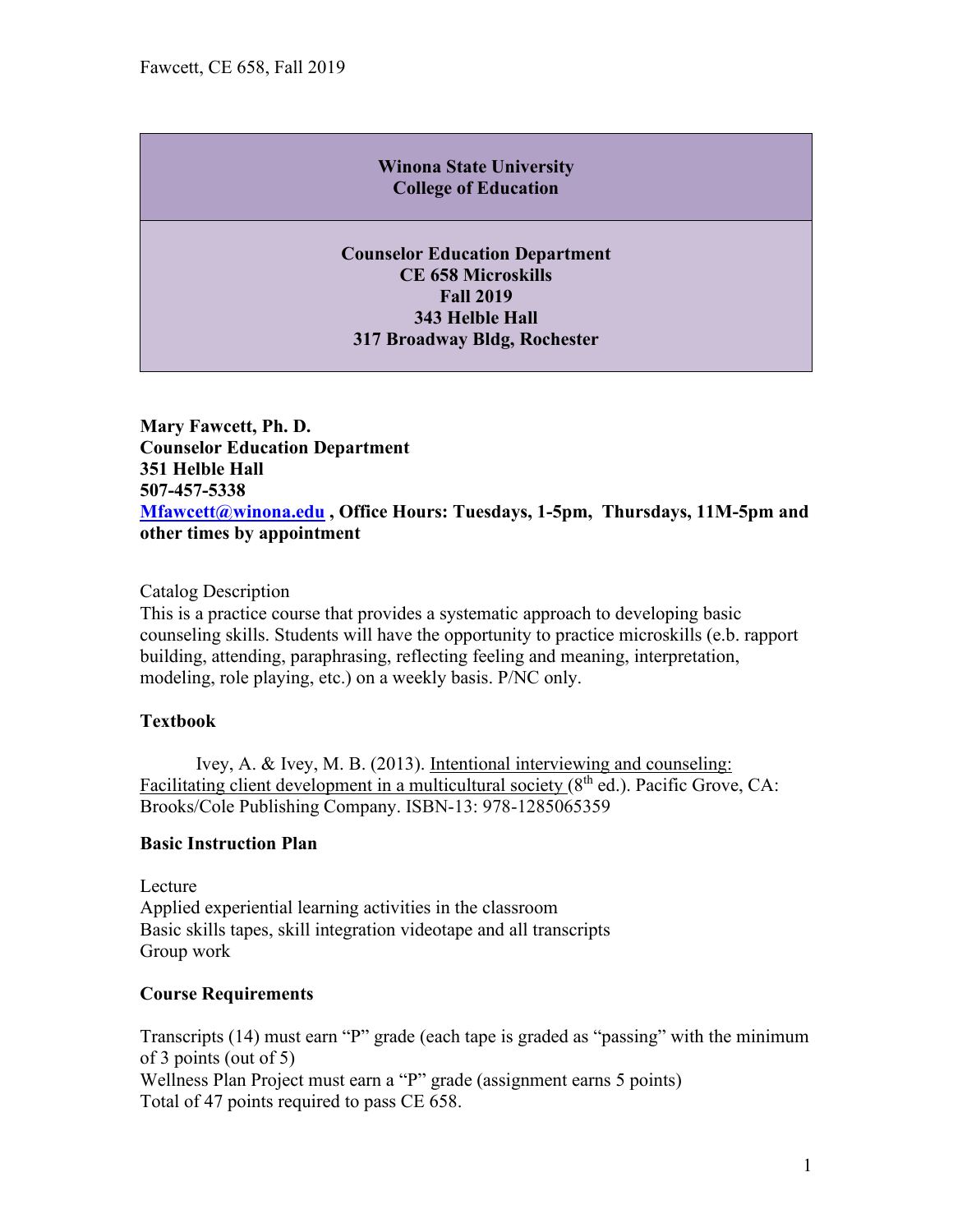### **Winona State University College of Education**

**Counselor Education Department CE 658 Microskills Fall 2019 343 Helble Hall 317 Broadway Bldg, Rochester**

**Mary Fawcett, Ph. D. Counselor Education Department 351 Helble Hall 507-457-5338 [Mfawcett@winona.edu](mailto:Mfawcett@winona.edu) , Office Hours: Tuesdays, 1-5pm, Thursdays, 11M-5pm and other times by appointment** 

#### Catalog Description

This is a practice course that provides a systematic approach to developing basic counseling skills. Students will have the opportunity to practice microskills (e.b. rapport building, attending, paraphrasing, reflecting feeling and meaning, interpretation, modeling, role playing, etc.) on a weekly basis. P/NC only.

#### **Textbook**

Ivey, A. & Ivey, M. B. (2013). Intentional interviewing and counseling: Facilitating client development in a multicultural society  $(8<sup>th</sup>$  ed.). Pacific Grove, CA: Brooks/Cole Publishing Company. ISBN-13: 978-1285065359

#### **Basic Instruction Plan**

Lecture Applied experiential learning activities in the classroom Basic skills tapes, skill integration videotape and all transcripts Group work

### **Course Requirements**

Transcripts (14) must earn "P" grade (each tape is graded as "passing" with the minimum of 3 points (out of 5) Wellness Plan Project must earn a "P" grade (assignment earns 5 points) Total of 47 points required to pass CE 658.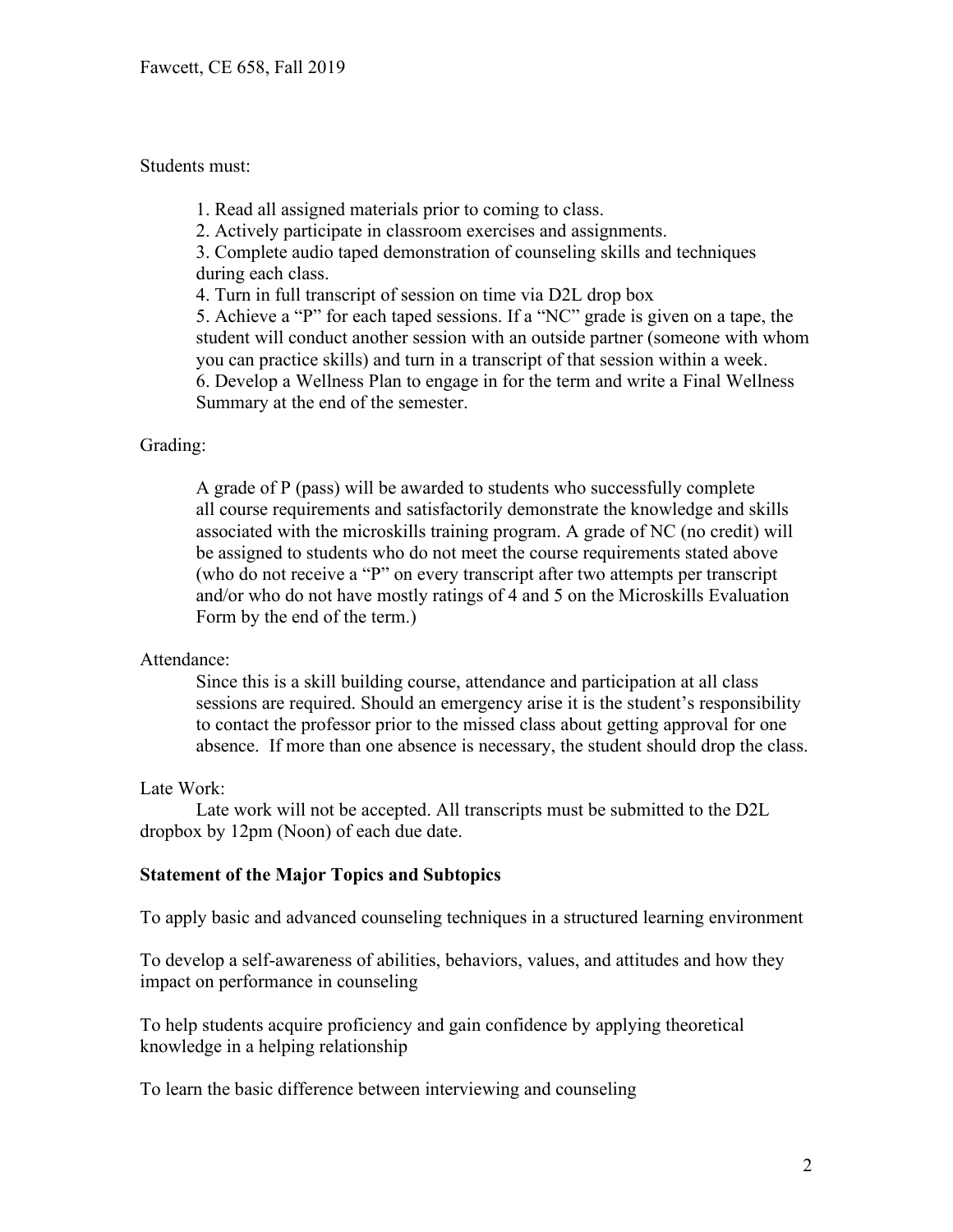#### Students must:

1. Read all assigned materials prior to coming to class.

2. Actively participate in classroom exercises and assignments.

3. Complete audio taped demonstration of counseling skills and techniques during each class.

4. Turn in full transcript of session on time via D2L drop box

5. Achieve a "P" for each taped sessions. If a "NC" grade is given on a tape, the student will conduct another session with an outside partner (someone with whom you can practice skills) and turn in a transcript of that session within a week. 6. Develop a Wellness Plan to engage in for the term and write a Final Wellness Summary at the end of the semester.

#### Grading:

A grade of P (pass) will be awarded to students who successfully complete all course requirements and satisfactorily demonstrate the knowledge and skills associated with the microskills training program. A grade of NC (no credit) will be assigned to students who do not meet the course requirements stated above (who do not receive a "P" on every transcript after two attempts per transcript and/or who do not have mostly ratings of 4 and 5 on the Microskills Evaluation Form by the end of the term.)

#### Attendance:

Since this is a skill building course, attendance and participation at all class sessions are required. Should an emergency arise it is the student's responsibility to contact the professor prior to the missed class about getting approval for one absence. If more than one absence is necessary, the student should drop the class.

#### Late Work:

Late work will not be accepted. All transcripts must be submitted to the D2L dropbox by 12pm (Noon) of each due date.

#### **Statement of the Major Topics and Subtopics**

To apply basic and advanced counseling techniques in a structured learning environment

To develop a self-awareness of abilities, behaviors, values, and attitudes and how they impact on performance in counseling

To help students acquire proficiency and gain confidence by applying theoretical knowledge in a helping relationship

To learn the basic difference between interviewing and counseling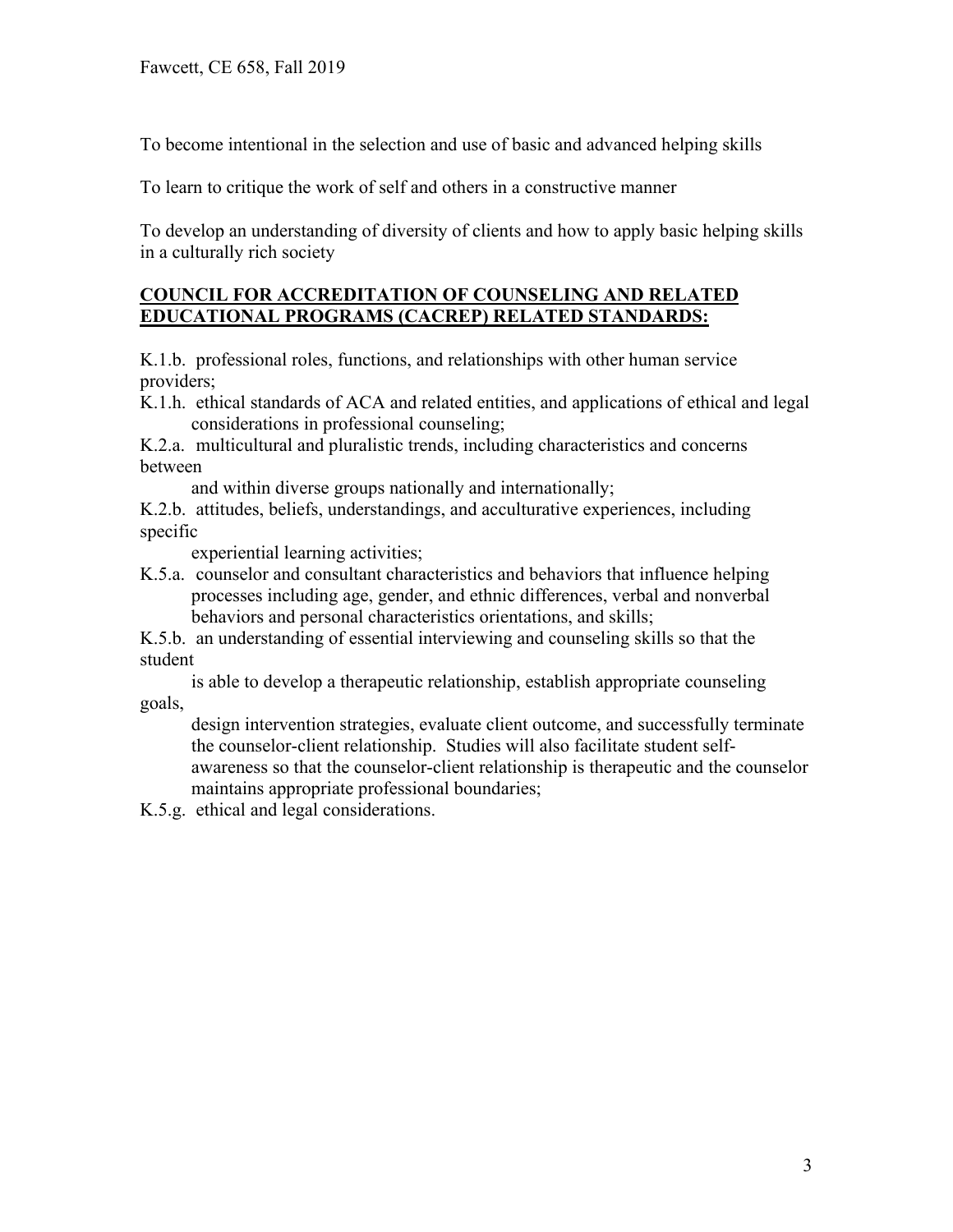To become intentional in the selection and use of basic and advanced helping skills

To learn to critique the work of self and others in a constructive manner

To develop an understanding of diversity of clients and how to apply basic helping skills in a culturally rich society

### **COUNCIL FOR ACCREDITATION OF COUNSELING AND RELATED EDUCATIONAL PROGRAMS (CACREP) RELATED STANDARDS:**

K.1.b. professional roles, functions, and relationships with other human service providers;

K.1.h. ethical standards of ACA and related entities, and applications of ethical and legal considerations in professional counseling;

K.2.a. multicultural and pluralistic trends, including characteristics and concerns between

and within diverse groups nationally and internationally;

K.2.b. attitudes, beliefs, understandings, and acculturative experiences, including specific

experiential learning activities;

K.5.a. counselor and consultant characteristics and behaviors that influence helping processes including age, gender, and ethnic differences, verbal and nonverbal behaviors and personal characteristics orientations, and skills;

K.5.b. an understanding of essential interviewing and counseling skills so that the student

 is able to develop a therapeutic relationship, establish appropriate counseling goals,

 design intervention strategies, evaluate client outcome, and successfully terminate the counselor-client relationship. Studies will also facilitate student self awareness so that the counselor-client relationship is therapeutic and the counselor maintains appropriate professional boundaries;

K.5.g. ethical and legal considerations.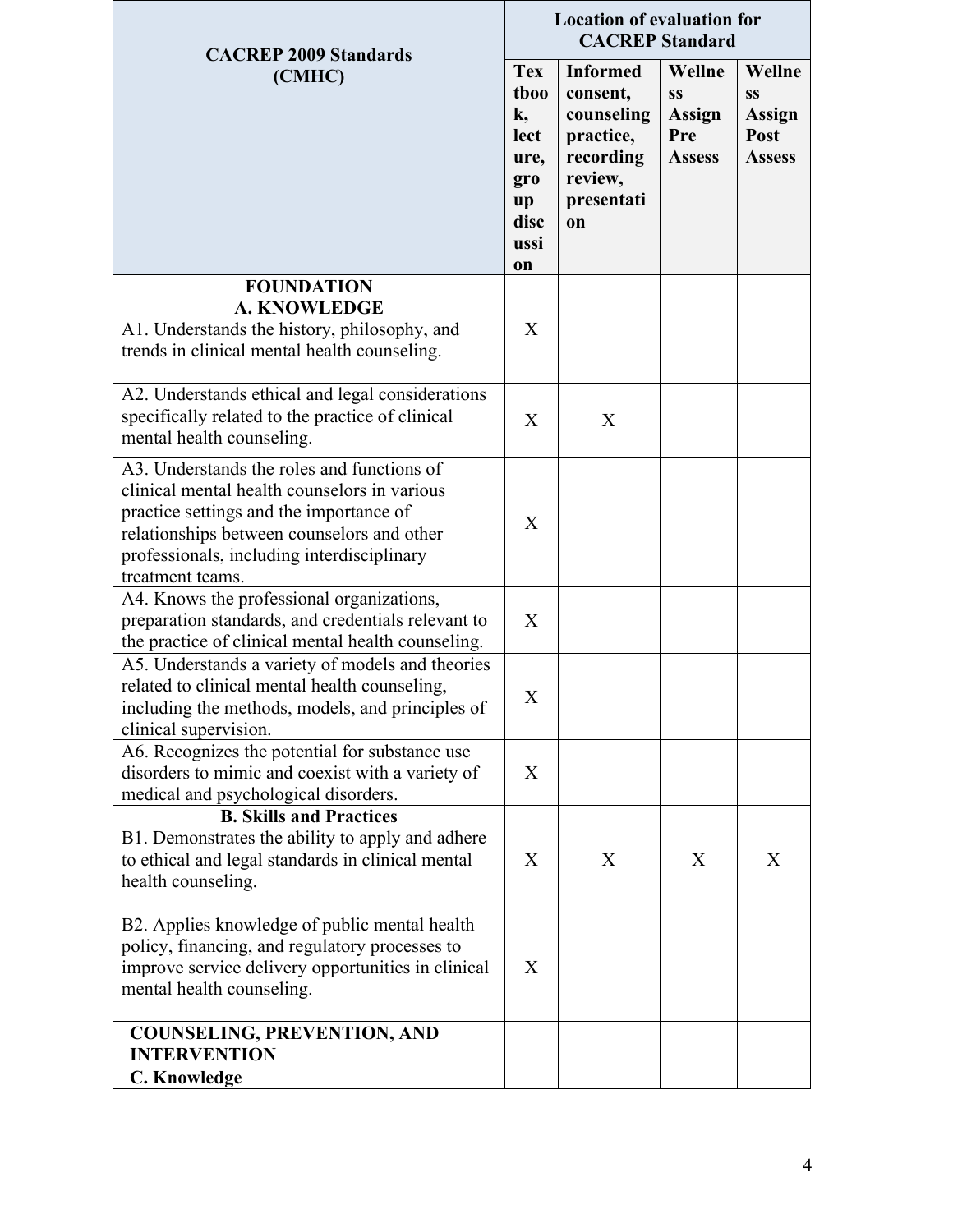| <b>CACREP 2009 Standards</b>                                                                                                                                                                                                                          | <b>Location of evaluation for</b><br><b>CACREP</b> Standard                 |                                                                                                    |                                                              |                                                        |
|-------------------------------------------------------------------------------------------------------------------------------------------------------------------------------------------------------------------------------------------------------|-----------------------------------------------------------------------------|----------------------------------------------------------------------------------------------------|--------------------------------------------------------------|--------------------------------------------------------|
| (CMHC)                                                                                                                                                                                                                                                | <b>Tex</b><br>tboo<br>k,<br>lect<br>ure,<br>gro<br>up<br>disc<br>ussi<br>on | <b>Informed</b><br>consent,<br>counseling<br>practice,<br>recording<br>review,<br>presentati<br>on | Wellne<br><b>SS</b><br><b>Assign</b><br>Pre<br><b>Assess</b> | Wellne<br><b>SS</b><br>Assign<br>Post<br><b>Assess</b> |
| <b>FOUNDATION</b><br><b>A. KNOWLEDGE</b><br>A1. Understands the history, philosophy, and<br>trends in clinical mental health counseling.                                                                                                              | X                                                                           |                                                                                                    |                                                              |                                                        |
| A2. Understands ethical and legal considerations<br>specifically related to the practice of clinical<br>mental health counseling.                                                                                                                     | X                                                                           | X                                                                                                  |                                                              |                                                        |
| A3. Understands the roles and functions of<br>clinical mental health counselors in various<br>practice settings and the importance of<br>relationships between counselors and other<br>professionals, including interdisciplinary<br>treatment teams. | X                                                                           |                                                                                                    |                                                              |                                                        |
| A4. Knows the professional organizations,<br>preparation standards, and credentials relevant to<br>the practice of clinical mental health counseling.                                                                                                 | X                                                                           |                                                                                                    |                                                              |                                                        |
| A5. Understands a variety of models and theories<br>related to clinical mental health counseling,<br>including the methods, models, and principles of<br>clinical supervision.                                                                        | X                                                                           |                                                                                                    |                                                              |                                                        |
| A6. Recognizes the potential for substance use<br>disorders to mimic and coexist with a variety of<br>medical and psychological disorders.                                                                                                            | X                                                                           |                                                                                                    |                                                              |                                                        |
| <b>B. Skills and Practices</b><br>B1. Demonstrates the ability to apply and adhere<br>to ethical and legal standards in clinical mental<br>health counseling.                                                                                         | X                                                                           | X                                                                                                  | X                                                            | X                                                      |
| B2. Applies knowledge of public mental health<br>policy, financing, and regulatory processes to<br>improve service delivery opportunities in clinical<br>mental health counseling.                                                                    | X                                                                           |                                                                                                    |                                                              |                                                        |
| <b>COUNSELING, PREVENTION, AND</b><br><b>INTERVENTION</b><br><b>C. Knowledge</b>                                                                                                                                                                      |                                                                             |                                                                                                    |                                                              |                                                        |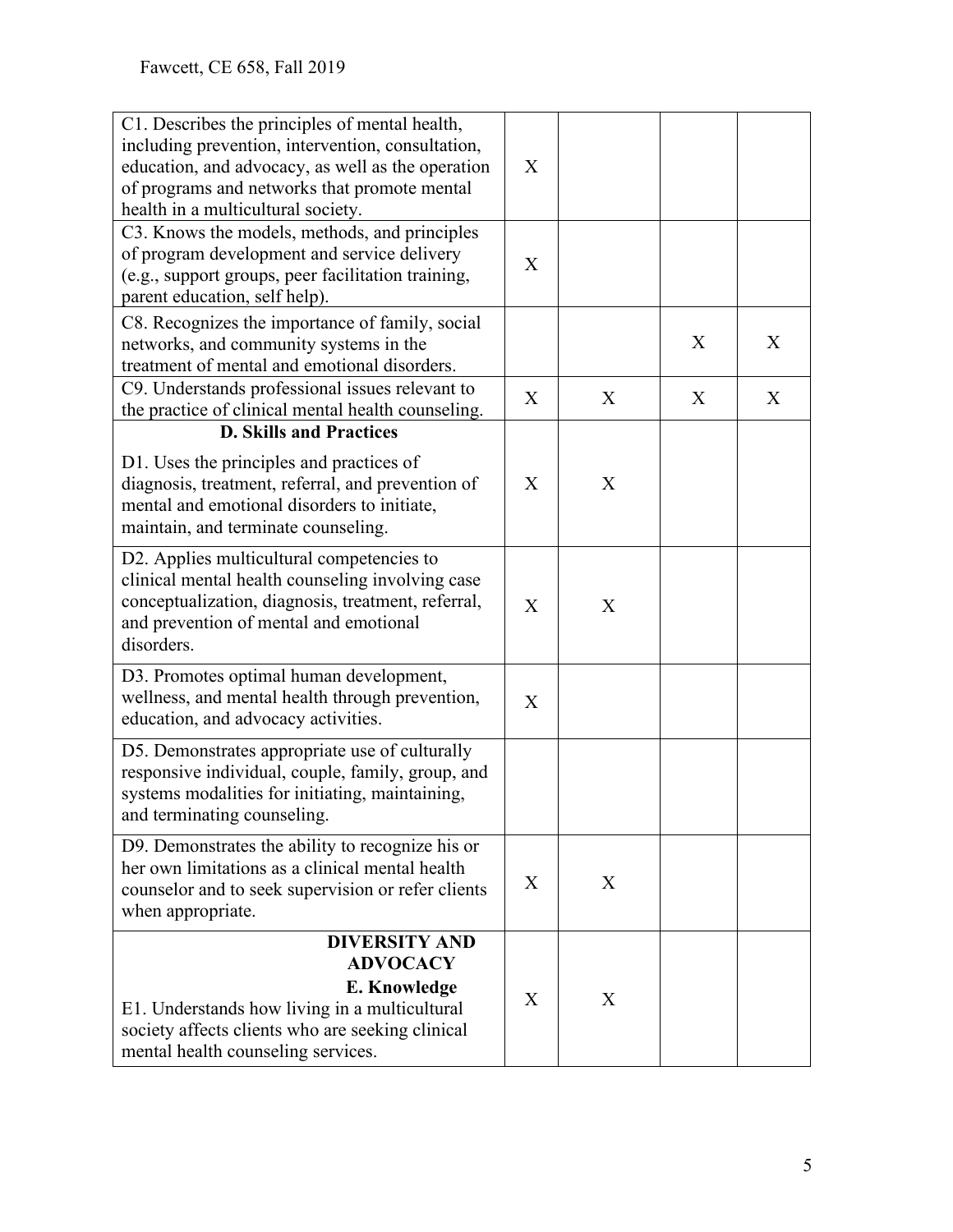| C1. Describes the principles of mental health,<br>including prevention, intervention, consultation,<br>education, and advocacy, as well as the operation<br>of programs and networks that promote mental<br>health in a multicultural society. | X |   |   |   |
|------------------------------------------------------------------------------------------------------------------------------------------------------------------------------------------------------------------------------------------------|---|---|---|---|
| C3. Knows the models, methods, and principles<br>of program development and service delivery<br>(e.g., support groups, peer facilitation training,<br>parent education, self help).                                                            | X |   |   |   |
| C8. Recognizes the importance of family, social<br>networks, and community systems in the<br>treatment of mental and emotional disorders.                                                                                                      |   |   | X | X |
| C9. Understands professional issues relevant to<br>the practice of clinical mental health counseling.<br><b>D. Skills and Practices</b>                                                                                                        | X | X | X | X |
| D1. Uses the principles and practices of<br>diagnosis, treatment, referral, and prevention of<br>mental and emotional disorders to initiate,<br>maintain, and terminate counseling.                                                            | X | X |   |   |
| D2. Applies multicultural competencies to<br>clinical mental health counseling involving case<br>conceptualization, diagnosis, treatment, referral,<br>and prevention of mental and emotional<br>disorders.                                    | X | X |   |   |
| D3. Promotes optimal human development,<br>wellness, and mental health through prevention,<br>education, and advocacy activities.                                                                                                              | X |   |   |   |
| D5. Demonstrates appropriate use of culturally<br>responsive individual, couple, family, group, and<br>systems modalities for initiating, maintaining,<br>and terminating counseling.                                                          |   |   |   |   |
| D9. Demonstrates the ability to recognize his or<br>her own limitations as a clinical mental health<br>counselor and to seek supervision or refer clients<br>when appropriate.                                                                 | X | X |   |   |
| <b>DIVERSITY AND</b><br><b>ADVOCACY</b><br><b>E. Knowledge</b><br>E1. Understands how living in a multicultural<br>society affects clients who are seeking clinical<br>mental health counseling services.                                      | X | X |   |   |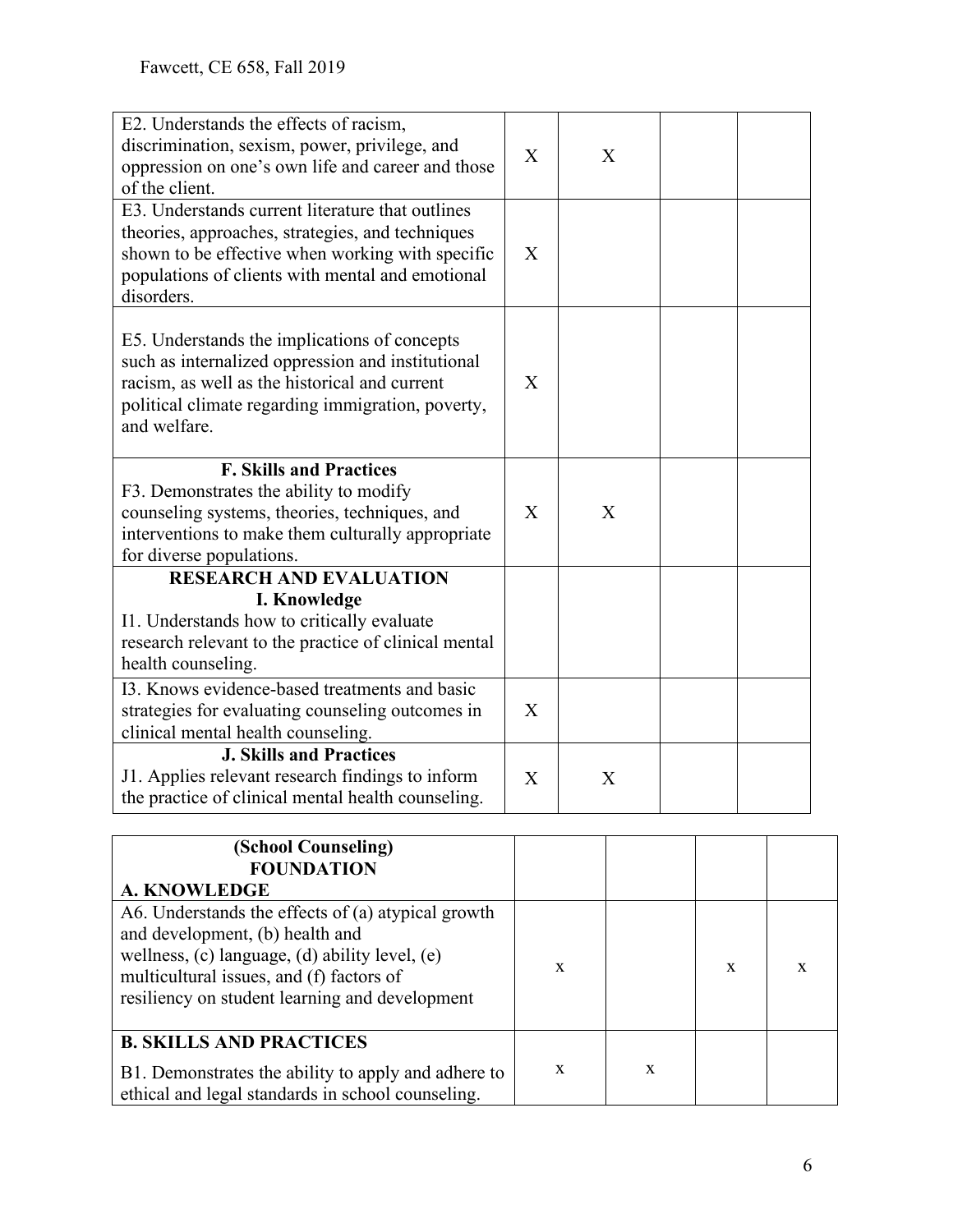| E2. Understands the effects of racism,<br>discrimination, sexism, power, privilege, and<br>oppression on one's own life and career and those<br>of the client.                                                             | $\mathbf{X}$ | X |  |
|----------------------------------------------------------------------------------------------------------------------------------------------------------------------------------------------------------------------------|--------------|---|--|
| E3. Understands current literature that outlines<br>theories, approaches, strategies, and techniques<br>shown to be effective when working with specific<br>populations of clients with mental and emotional<br>disorders. | X            |   |  |
| E5. Understands the implications of concepts<br>such as internalized oppression and institutional<br>racism, as well as the historical and current<br>political climate regarding immigration, poverty,<br>and welfare.    | X            |   |  |
| <b>F. Skills and Practices</b><br>F3. Demonstrates the ability to modify<br>counseling systems, theories, techniques, and<br>interventions to make them culturally appropriate<br>for diverse populations.                 | $\mathbf{X}$ | X |  |
| <b>RESEARCH AND EVALUATION</b>                                                                                                                                                                                             |              |   |  |
| I. Knowledge<br>I1. Understands how to critically evaluate<br>research relevant to the practice of clinical mental<br>health counseling.                                                                                   |              |   |  |
| 13. Knows evidence-based treatments and basic                                                                                                                                                                              |              |   |  |
| strategies for evaluating counseling outcomes in<br>clinical mental health counseling.                                                                                                                                     | X            |   |  |
| <b>J. Skills and Practices</b><br>J1. Applies relevant research findings to inform                                                                                                                                         | $\mathbf{X}$ | X |  |

| (School Counseling)<br><b>FOUNDATION</b><br><b>A. KNOWLEDGE</b>                                                                                                                                                                       |             |   |   |  |
|---------------------------------------------------------------------------------------------------------------------------------------------------------------------------------------------------------------------------------------|-------------|---|---|--|
| A6. Understands the effects of (a) atypical growth<br>and development, (b) health and<br>wellness, (c) language, (d) ability level, (e)<br>multicultural issues, and (f) factors of<br>resiliency on student learning and development | X           |   | X |  |
| <b>B. SKILLS AND PRACTICES</b><br>B1. Demonstrates the ability to apply and adhere to<br>ethical and legal standards in school counseling.                                                                                            | $\mathbf x$ | X |   |  |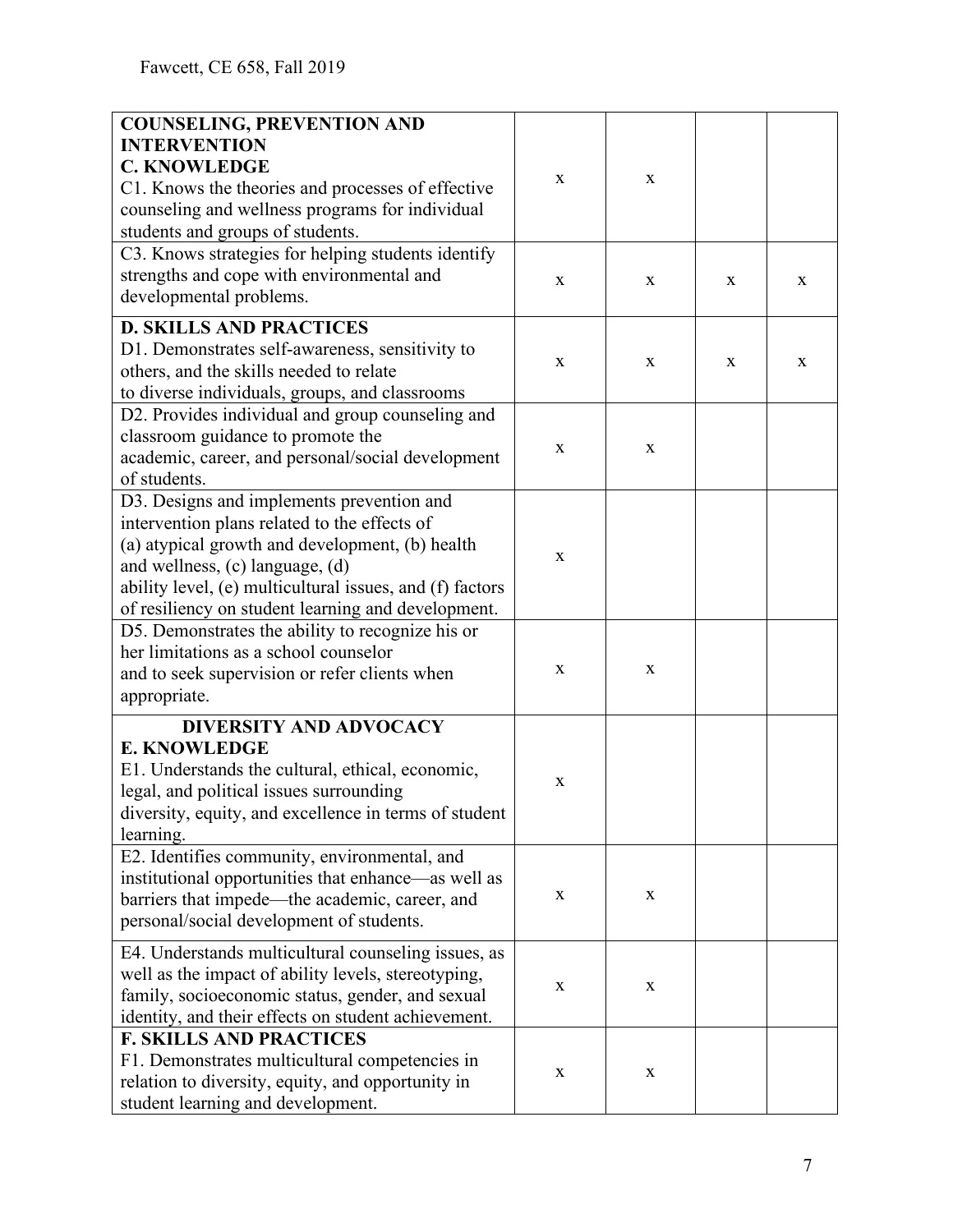| <b>COUNSELING, PREVENTION AND</b>                        |             |              |   |   |
|----------------------------------------------------------|-------------|--------------|---|---|
| <b>INTERVENTION</b>                                      |             |              |   |   |
| <b>C. KNOWLEDGE</b>                                      |             |              |   |   |
|                                                          | X           | $\mathbf{X}$ |   |   |
| C1. Knows the theories and processes of effective        |             |              |   |   |
| counseling and wellness programs for individual          |             |              |   |   |
| students and groups of students.                         |             |              |   |   |
| C3. Knows strategies for helping students identify       |             |              |   |   |
| strengths and cope with environmental and                | X           | X            | X | X |
| developmental problems.                                  |             |              |   |   |
| <b>D. SKILLS AND PRACTICES</b>                           |             |              |   |   |
|                                                          |             |              |   |   |
| D1. Demonstrates self-awareness, sensitivity to          | X           | $\mathbf X$  | X | X |
| others, and the skills needed to relate                  |             |              |   |   |
| to diverse individuals, groups, and classrooms           |             |              |   |   |
| D2. Provides individual and group counseling and         |             |              |   |   |
| classroom guidance to promote the                        |             |              |   |   |
| academic, career, and personal/social development        | X           | $\mathbf X$  |   |   |
| of students.                                             |             |              |   |   |
| D3. Designs and implements prevention and                |             |              |   |   |
| intervention plans related to the effects of             |             |              |   |   |
| (a) atypical growth and development, (b) health          |             |              |   |   |
|                                                          | X           |              |   |   |
| and wellness, (c) language, (d)                          |             |              |   |   |
| ability level, (e) multicultural issues, and (f) factors |             |              |   |   |
| of resiliency on student learning and development.       |             |              |   |   |
| D5. Demonstrates the ability to recognize his or         |             |              |   |   |
| her limitations as a school counselor                    |             |              |   |   |
| and to seek supervision or refer clients when            | X           | X            |   |   |
| appropriate.                                             |             |              |   |   |
| <b>DIVERSITY AND ADVOCACY</b>                            |             |              |   |   |
| <b>E. KNOWLEDGE</b>                                      |             |              |   |   |
| E1. Understands the cultural, ethical, economic,         |             |              |   |   |
| legal, and political issues surrounding                  | $\mathbf X$ |              |   |   |
|                                                          |             |              |   |   |
| diversity, equity, and excellence in terms of student    |             |              |   |   |
| learning.                                                |             |              |   |   |
| E2. Identifies community, environmental, and             |             |              |   |   |
| institutional opportunities that enhance—as well as      |             |              |   |   |
| barriers that impede—the academic, career, and           | X           | $\mathbf X$  |   |   |
| personal/social development of students.                 |             |              |   |   |
| E4. Understands multicultural counseling issues, as      |             |              |   |   |
| well as the impact of ability levels, stereotyping,      |             |              |   |   |
| family, socioeconomic status, gender, and sexual         | X           | $\mathbf X$  |   |   |
|                                                          |             |              |   |   |
| identity, and their effects on student achievement.      |             |              |   |   |
| <b>F. SKILLS AND PRACTICES</b>                           |             |              |   |   |
| F1. Demonstrates multicultural competencies in           | X           | $\mathbf X$  |   |   |
| relation to diversity, equity, and opportunity in        |             |              |   |   |
| student learning and development.                        |             |              |   |   |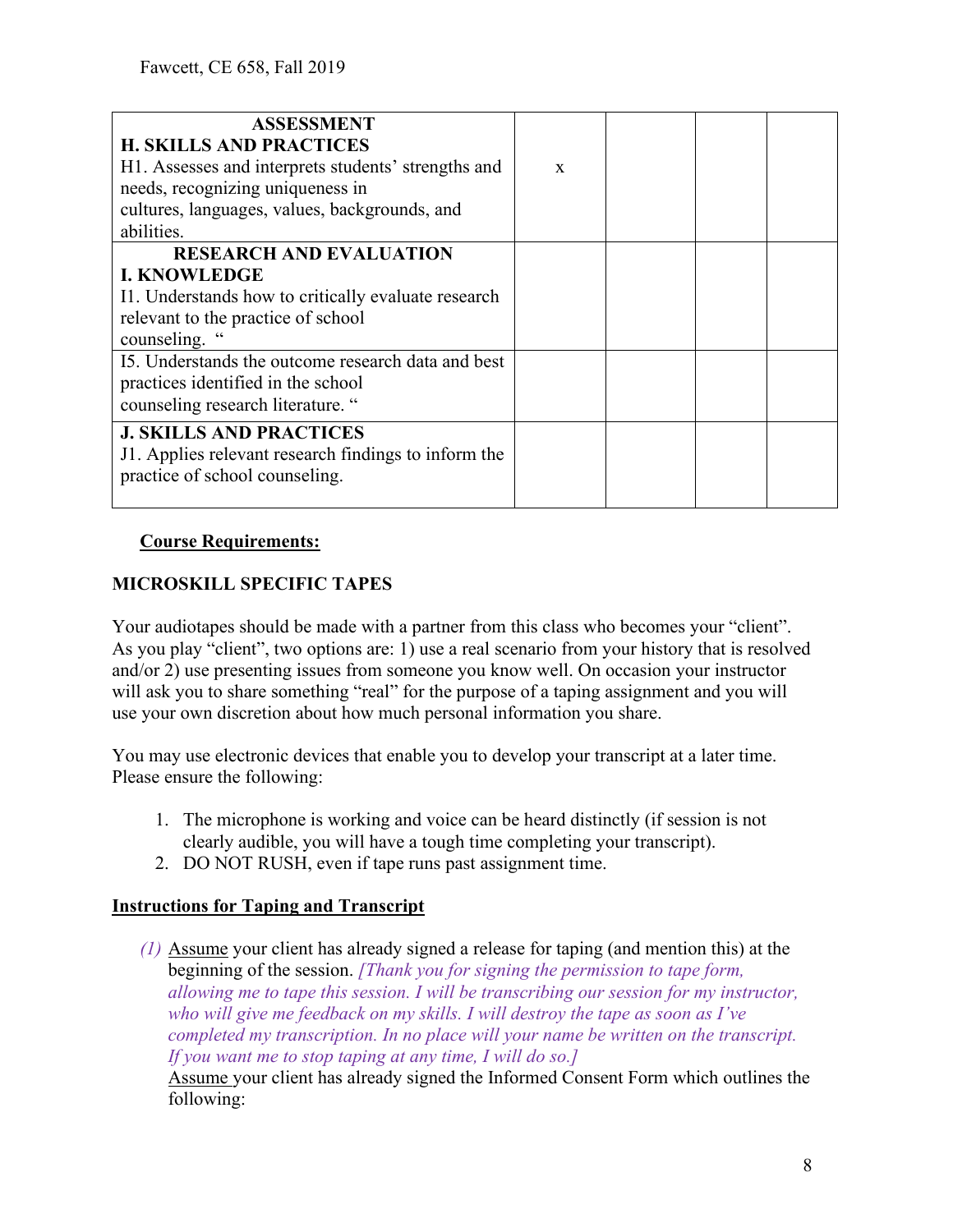| <b>ASSESSMENT</b><br><b>H. SKILLS AND PRACTICES</b><br>H1. Assesses and interprets students' strengths and<br>needs, recognizing uniqueness in<br>cultures, languages, values, backgrounds, and<br>abilities. | $\mathbf{x}$ |  |  |
|---------------------------------------------------------------------------------------------------------------------------------------------------------------------------------------------------------------|--------------|--|--|
| <b>RESEARCH AND EVALUATION</b><br><b>I. KNOWLEDGE</b><br>I1. Understands how to critically evaluate research<br>relevant to the practice of school<br>counseling. '                                           |              |  |  |
| 15. Understands the outcome research data and best<br>practices identified in the school<br>counseling research literature. "                                                                                 |              |  |  |
| <b>J. SKILLS AND PRACTICES</b><br>J1. Applies relevant research findings to inform the<br>practice of school counseling.                                                                                      |              |  |  |

### **Course Requirements:**

### **MICROSKILL SPECIFIC TAPES**

Your audiotapes should be made with a partner from this class who becomes your "client". As you play "client", two options are: 1) use a real scenario from your history that is resolved and/or 2) use presenting issues from someone you know well. On occasion your instructor will ask you to share something "real" for the purpose of a taping assignment and you will use your own discretion about how much personal information you share.

You may use electronic devices that enable you to develop your transcript at a later time. Please ensure the following:

- 1. The microphone is working and voice can be heard distinctly (if session is not clearly audible, you will have a tough time completing your transcript).
- 2. DO NOT RUSH, even if tape runs past assignment time.

### **Instructions for Taping and Transcript**

*(1)* Assume your client has already signed a release for taping (and mention this) at the beginning of the session. *[Thank you for signing the permission to tape form, allowing me to tape this session. I will be transcribing our session for my instructor, who will give me feedback on my skills. I will destroy the tape as soon as I've completed my transcription. In no place will your name be written on the transcript. If you want me to stop taping at any time, I will do so.]*

Assume your client has already signed the Informed Consent Form which outlines the following: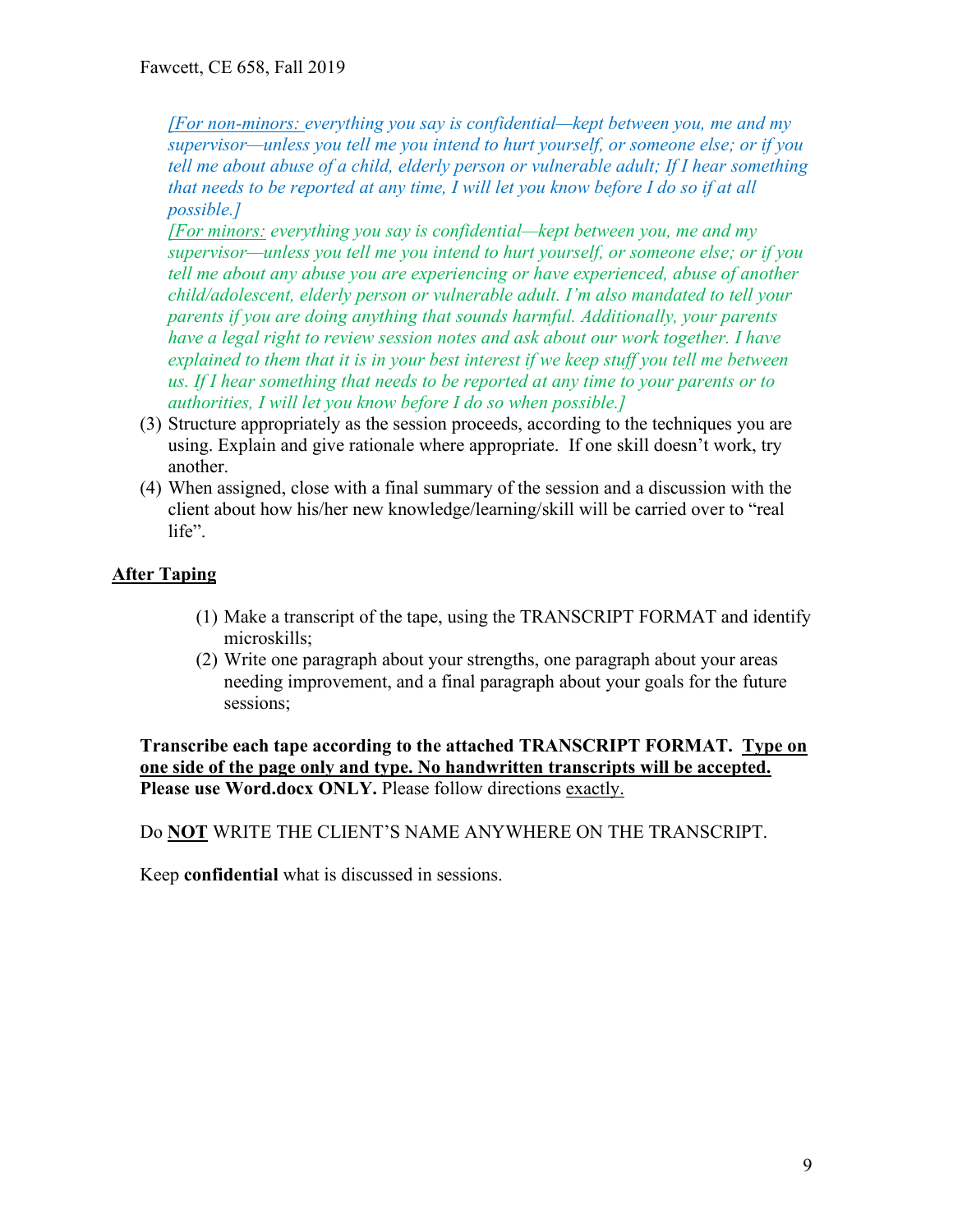*[For non-minors: everything you say is confidential—kept between you, me and my supervisor—unless you tell me you intend to hurt yourself, or someone else; or if you tell me about abuse of a child, elderly person or vulnerable adult; If I hear something that needs to be reported at any time, I will let you know before I do so if at all possible.]*

*[For minors: everything you say is confidential—kept between you, me and my supervisor—unless you tell me you intend to hurt yourself, or someone else; or if you tell me about any abuse you are experiencing or have experienced, abuse of another child/adolescent, elderly person or vulnerable adult. I'm also mandated to tell your parents if you are doing anything that sounds harmful. Additionally, your parents have a legal right to review session notes and ask about our work together. I have explained to them that it is in your best interest if we keep stuff you tell me between us. If I hear something that needs to be reported at any time to your parents or to authorities, I will let you know before I do so when possible.]*

- (3) Structure appropriately as the session proceeds, according to the techniques you are using. Explain and give rationale where appropriate. If one skill doesn't work, try another.
- (4) When assigned, close with a final summary of the session and a discussion with the client about how his/her new knowledge/learning/skill will be carried over to "real life".

### **After Taping**

- (1) Make a transcript of the tape, using the TRANSCRIPT FORMAT and identify microskills;
- (2) Write one paragraph about your strengths, one paragraph about your areas needing improvement, and a final paragraph about your goals for the future sessions;

**Transcribe each tape according to the attached TRANSCRIPT FORMAT. Type on one side of the page only and type. No handwritten transcripts will be accepted. Please use Word.docx ONLY.** Please follow directions exactly.

Do **NOT** WRITE THE CLIENT'S NAME ANYWHERE ON THE TRANSCRIPT.

Keep **confidential** what is discussed in sessions.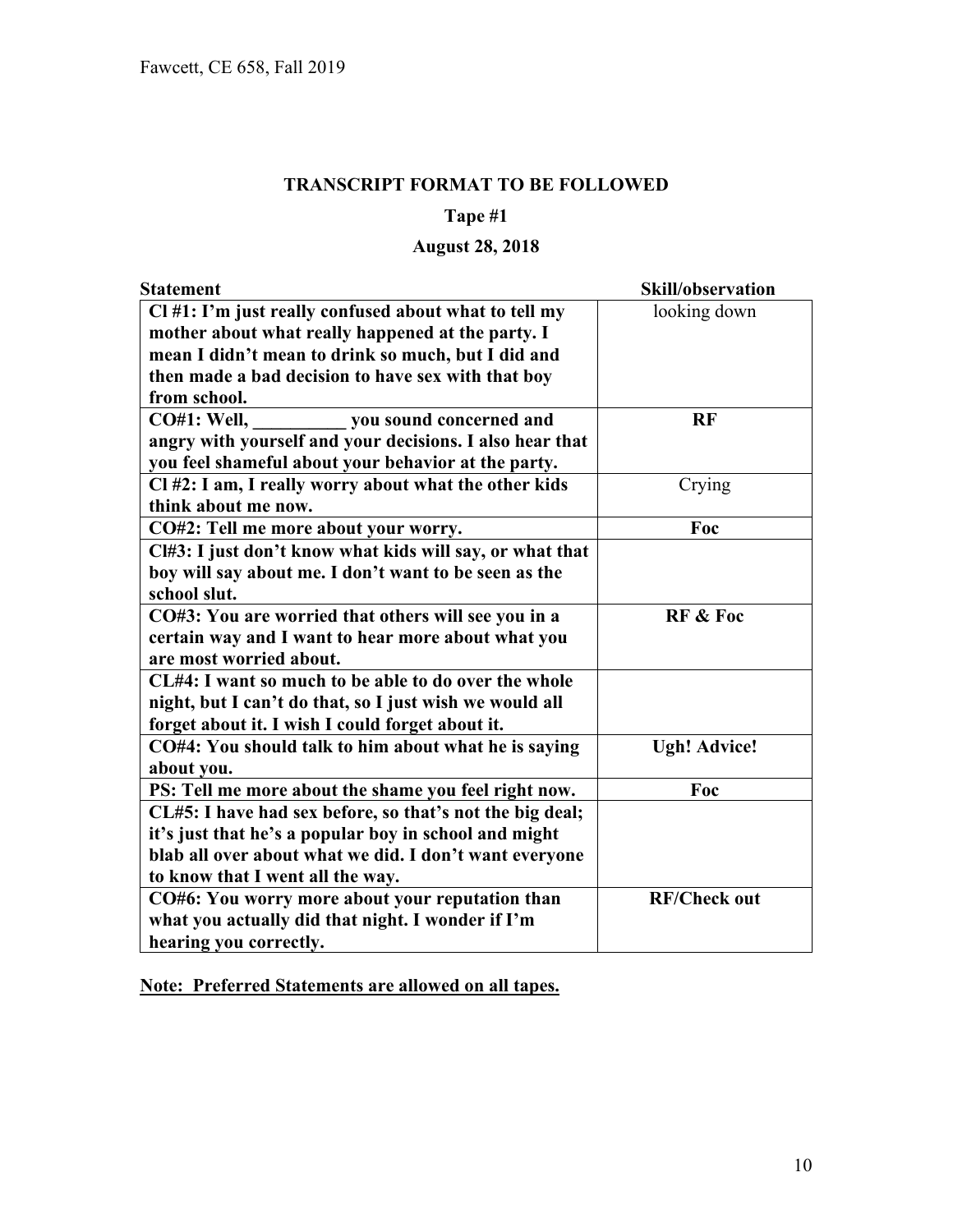### **TRANSCRIPT FORMAT TO BE FOLLOWED**

### **Tape #1**

## **August 28, 2018**

| <b>Statement</b>                                         | Skill/observation   |
|----------------------------------------------------------|---------------------|
| Cl #1: I'm just really confused about what to tell my    | looking down        |
| mother about what really happened at the party. I        |                     |
| mean I didn't mean to drink so much, but I did and       |                     |
| then made a bad decision to have sex with that boy       |                     |
| from school.                                             |                     |
| CO#1: Well, ______________ you sound concerned and       | <b>RF</b>           |
| angry with yourself and your decisions. I also hear that |                     |
| you feel shameful about your behavior at the party.      |                     |
| Cl #2: I am, I really worry about what the other kids    | Crying              |
| think about me now.                                      |                     |
| CO#2: Tell me more about your worry.                     | Foc                 |
| Cl#3: I just don't know what kids will say, or what that |                     |
| boy will say about me. I don't want to be seen as the    |                     |
| school slut.                                             |                     |
| CO#3: You are worried that others will see you in a      | <b>RF &amp; Foc</b> |
| certain way and I want to hear more about what you       |                     |
| are most worried about.                                  |                     |
| CL#4: I want so much to be able to do over the whole     |                     |
| night, but I can't do that, so I just wish we would all  |                     |
| forget about it. I wish I could forget about it.         |                     |
| CO#4: You should talk to him about what he is saying     | <b>Ugh! Advice!</b> |
| about you.                                               |                     |
| PS: Tell me more about the shame you feel right now.     | Foc                 |
| CL#5: I have had sex before, so that's not the big deal; |                     |
| it's just that he's a popular boy in school and might    |                     |
| blab all over about what we did. I don't want everyone   |                     |
| to know that I went all the way.                         |                     |
| CO#6: You worry more about your reputation than          | <b>RF/Check out</b> |
| what you actually did that night. I wonder if I'm        |                     |
| hearing you correctly.                                   |                     |

**Note: Preferred Statements are allowed on all tapes.**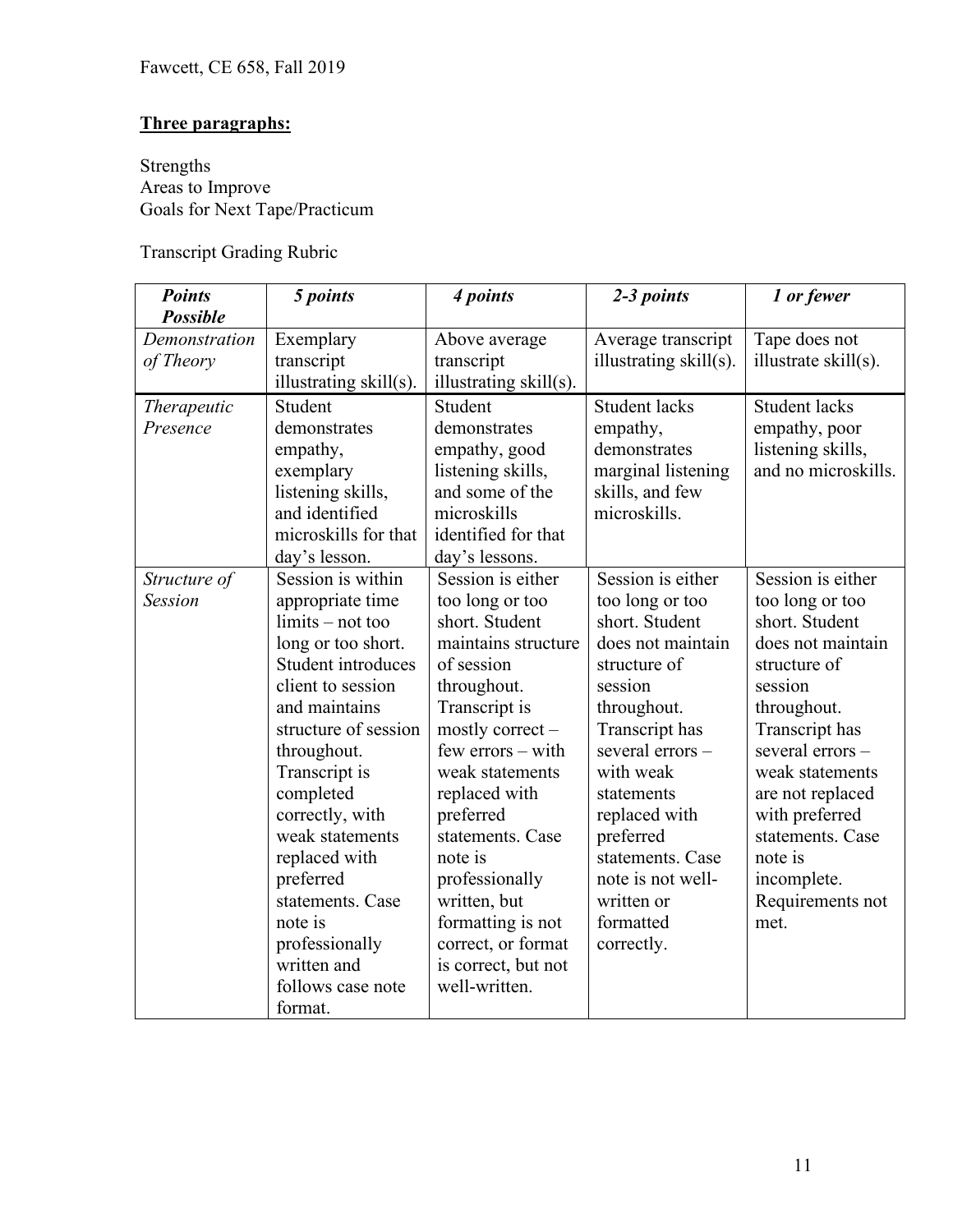## **Three paragraphs:**

Strengths Areas to Improve Goals for Next Tape/Practicum

Transcript Grading Rubric

| <b>Points</b>      | 5 points               | 4 points               | 2-3 points             | 1 or fewer           |
|--------------------|------------------------|------------------------|------------------------|----------------------|
| <b>Possible</b>    |                        |                        |                        |                      |
| Demonstration      | Exemplary              | Above average          | Average transcript     | Tape does not        |
| of Theory          | transcript             | transcript             | illustrating skill(s). | illustrate skill(s). |
|                    | illustrating skill(s). | illustrating skill(s). |                        |                      |
| <b>Therapeutic</b> | Student                | Student                | <b>Student lacks</b>   | <b>Student lacks</b> |
| Presence           | demonstrates           | demonstrates           | empathy,               | empathy, poor        |
|                    | empathy,               | empathy, good          | demonstrates           | listening skills,    |
|                    | exemplary              | listening skills,      | marginal listening     | and no microskills.  |
|                    | listening skills,      | and some of the        | skills, and few        |                      |
|                    | and identified         | microskills            | microskills.           |                      |
|                    | microskills for that   | identified for that    |                        |                      |
|                    | day's lesson.          | day's lessons.         |                        |                      |
| Structure of       | Session is within      | Session is either      | Session is either      | Session is either    |
| <b>Session</b>     | appropriate time       | too long or too        | too long or too        | too long or too      |
|                    | $limits - not too$     | short. Student         | short. Student         | short. Student       |
|                    | long or too short.     | maintains structure    | does not maintain      | does not maintain    |
|                    | Student introduces     | of session             | structure of           | structure of         |
|                    | client to session      | throughout.            | session                | session              |
|                    | and maintains          | Transcript is          | throughout.            | throughout.          |
|                    | structure of session   | mostly correct -       | Transcript has         | Transcript has       |
|                    | throughout.            | $few$ errors $-$ with  | several errors-        | several errors-      |
|                    | Transcript is          | weak statements        | with weak              | weak statements      |
|                    | completed              | replaced with          | statements             | are not replaced     |
|                    | correctly, with        | preferred              | replaced with          | with preferred       |
|                    | weak statements        | statements. Case       | preferred              | statements. Case     |
|                    | replaced with          | note is                | statements. Case       | note is              |
|                    | preferred              | professionally         | note is not well-      | incomplete.          |
|                    | statements. Case       | written, but           | written or             | Requirements not     |
|                    | note is                | formatting is not      | formatted              | met.                 |
|                    | professionally         | correct, or format     | correctly.             |                      |
|                    | written and            | is correct, but not    |                        |                      |
|                    | follows case note      | well-written.          |                        |                      |
|                    | format.                |                        |                        |                      |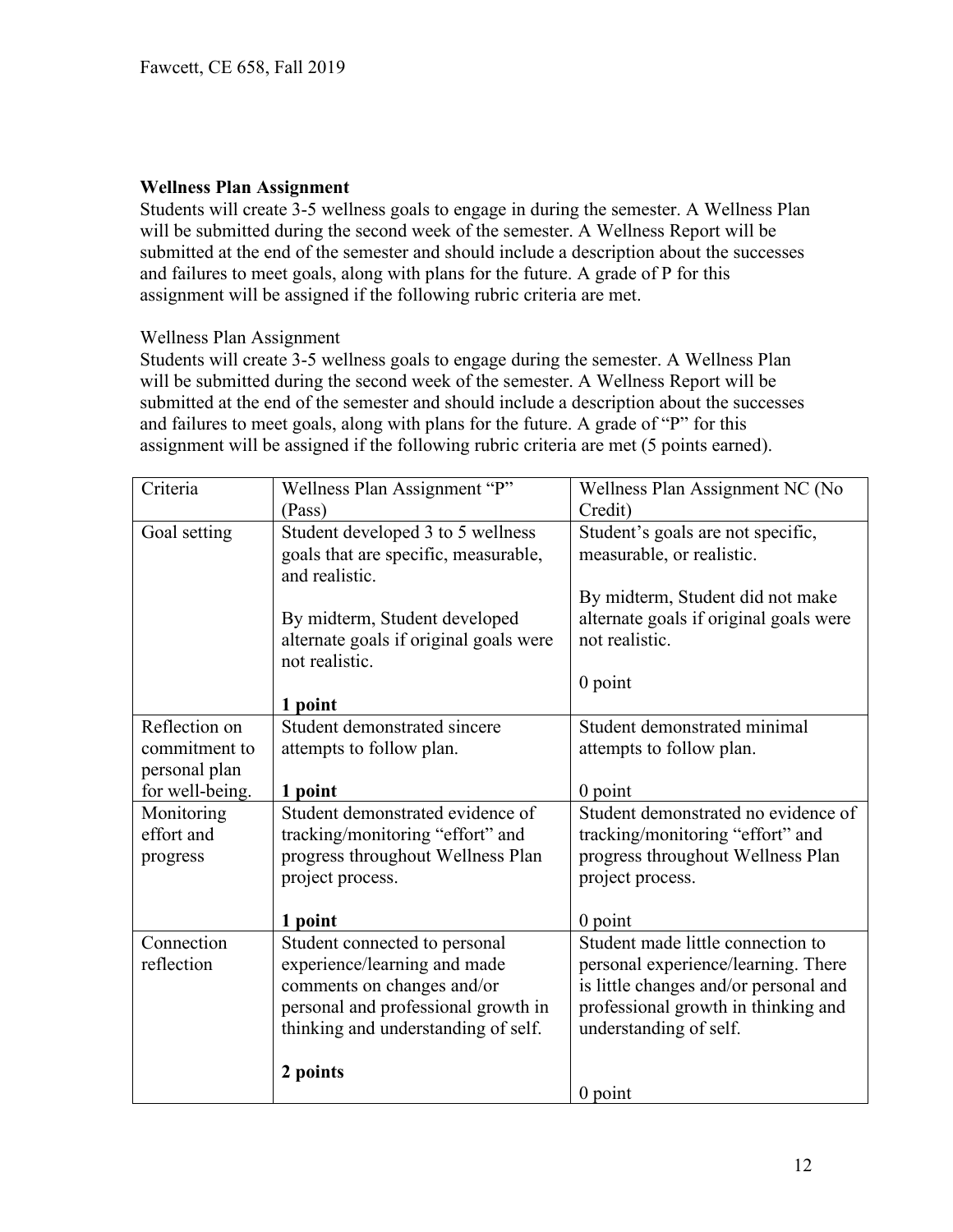#### **Wellness Plan Assignment**

Students will create 3-5 wellness goals to engage in during the semester. A Wellness Plan will be submitted during the second week of the semester. A Wellness Report will be submitted at the end of the semester and should include a description about the successes and failures to meet goals, along with plans for the future. A grade of P for this assignment will be assigned if the following rubric criteria are met.

#### Wellness Plan Assignment

Students will create 3-5 wellness goals to engage during the semester. A Wellness Plan will be submitted during the second week of the semester. A Wellness Report will be submitted at the end of the semester and should include a description about the successes and failures to meet goals, along with plans for the future. A grade of "P" for this assignment will be assigned if the following rubric criteria are met (5 points earned).

| Criteria        | Wellness Plan Assignment "P"<br>(Pass)                 | Wellness Plan Assignment NC (No<br>Credit) |
|-----------------|--------------------------------------------------------|--------------------------------------------|
|                 |                                                        |                                            |
| Goal setting    | Student developed 3 to 5 wellness                      | Student's goals are not specific,          |
|                 | goals that are specific, measurable,<br>and realistic. | measurable, or realistic.                  |
|                 |                                                        | By midterm, Student did not make           |
|                 | By midterm, Student developed                          | alternate goals if original goals were     |
|                 | alternate goals if original goals were                 | not realistic.                             |
|                 | not realistic.                                         |                                            |
|                 |                                                        | $0$ point                                  |
|                 | 1 point                                                |                                            |
| Reflection on   | Student demonstrated sincere                           | Student demonstrated minimal               |
| commitment to   | attempts to follow plan.                               | attempts to follow plan.                   |
| personal plan   |                                                        |                                            |
| for well-being. | 1 point                                                | $0$ point                                  |
| Monitoring      | Student demonstrated evidence of                       | Student demonstrated no evidence of        |
| effort and      | tracking/monitoring "effort" and                       | tracking/monitoring "effort" and           |
| progress        | progress throughout Wellness Plan                      | progress throughout Wellness Plan          |
|                 | project process.                                       | project process.                           |
|                 |                                                        |                                            |
|                 | 1 point                                                | $0$ point                                  |
| Connection      | Student connected to personal                          | Student made little connection to          |
| reflection      | experience/learning and made                           | personal experience/learning. There        |
|                 | comments on changes and/or                             | is little changes and/or personal and      |
|                 | personal and professional growth in                    | professional growth in thinking and        |
|                 | thinking and understanding of self.                    | understanding of self.                     |
|                 |                                                        |                                            |
|                 | 2 points                                               |                                            |
|                 |                                                        | $0$ point                                  |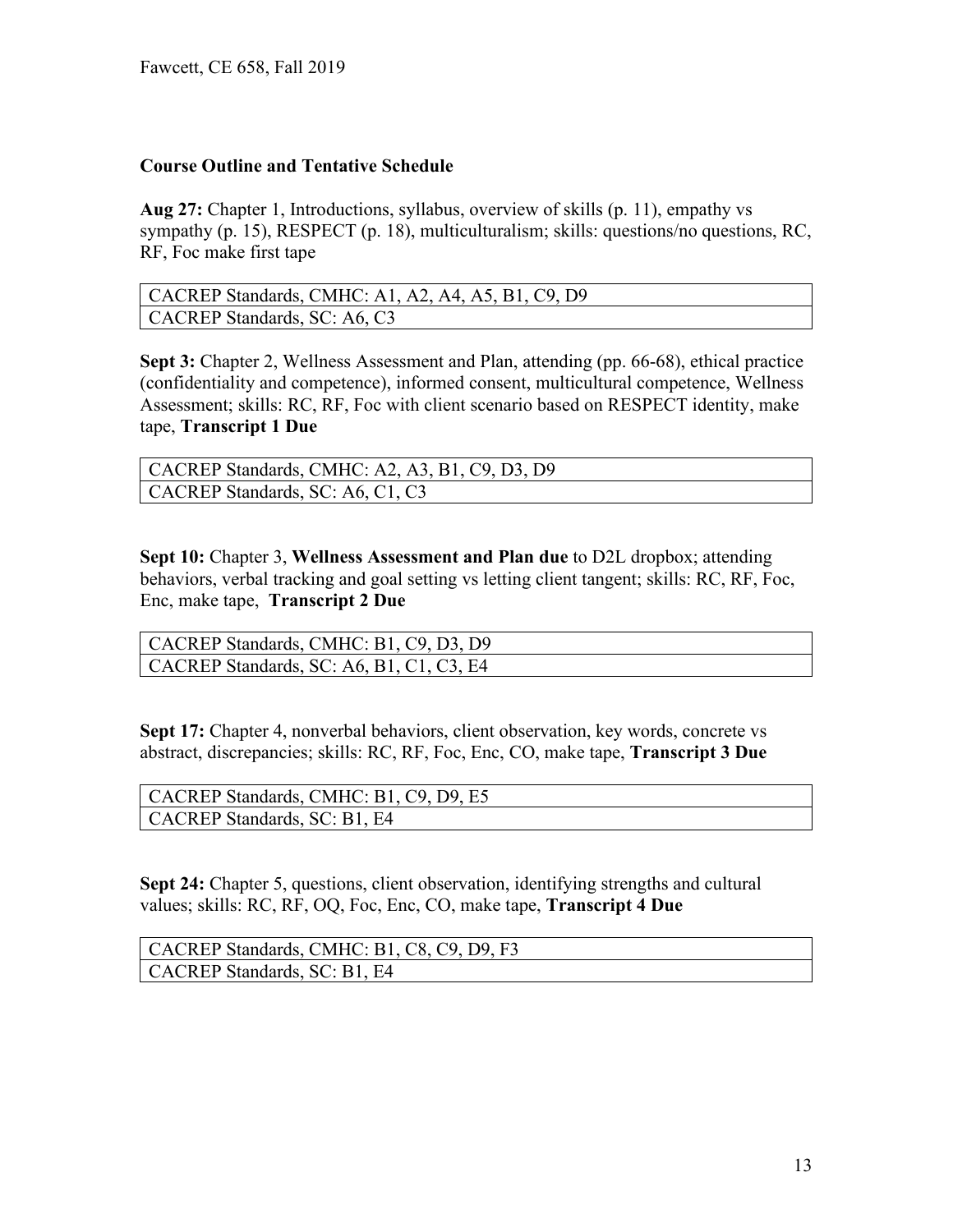### **Course Outline and Tentative Schedule**

**Aug 27:** Chapter 1, Introductions, syllabus, overview of skills (p. 11), empathy vs sympathy (p. 15), RESPECT (p. 18), multiculturalism; skills: questions/no questions, RC, RF, Foc make first tape

| CACREP Standards, CMHC: A1, A2, A4, A5, B1, C9, D9 |
|----------------------------------------------------|
| CACREP Standards, SC: A6, C3                       |

**Sept 3:** Chapter 2, Wellness Assessment and Plan, attending (pp. 66-68), ethical practice (confidentiality and competence), informed consent, multicultural competence, Wellness Assessment; skills: RC, RF, Foc with client scenario based on RESPECT identity, make tape, **Transcript 1 Due**

| CACREP Standards, CMHC: A2, A3, B1, C9, D3, D9 |
|------------------------------------------------|
| CACREP Standards, SC: A6, C1, C3               |

**Sept 10:** Chapter 3, **Wellness Assessment and Plan due** to D2L dropbox; attending behaviors, verbal tracking and goal setting vs letting client tangent; skills: RC, RF, Foc, Enc, make tape, **Transcript 2 Due**

| CACREP Standards, CMHC: B1, C9, D3, D9           |
|--------------------------------------------------|
| $\vert$ CACREP Standards, SC: A6, B1, C1, C3, E4 |

**Sept 17:** Chapter 4, nonverbal behaviors, client observation, key words, concrete vs abstract, discrepancies; skills: RC, RF, Foc, Enc, CO, make tape, **Transcript 3 Due**

| CACREP Standards, CMHC: B1, C9, D9, E5 |
|----------------------------------------|
| CACREP Standards, SC: B1, E4           |

**Sept 24:** Chapter 5, questions, client observation, identifying strengths and cultural values; skills: RC, RF, OQ, Foc, Enc, CO, make tape, **Transcript 4 Due**

| CACREP Standards, CMHC: B1, C8, C9, D9, F3 |
|--------------------------------------------|
| CACREP Standards, SC: B1, E4               |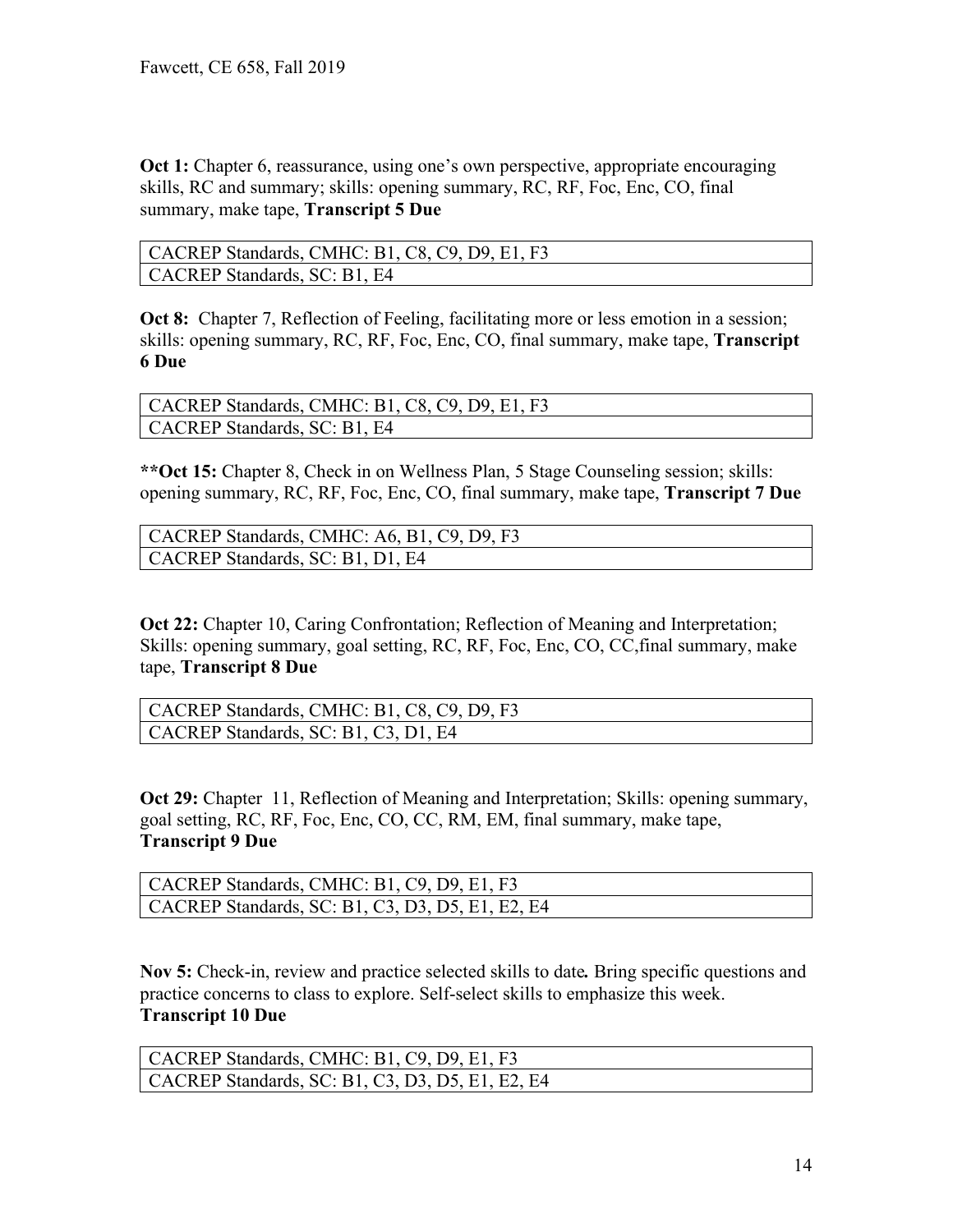**Oct 1:** Chapter 6, reassurance, using one's own perspective, appropriate encouraging skills, RC and summary; skills: opening summary, RC, RF, Foc, Enc, CO, final summary, make tape, **Transcript 5 Due**

| CACREP Standards, CMHC: B1, C8, C9, D9, E1, F3 |
|------------------------------------------------|
| CACREP Standards, SC: B1, E4                   |

**Oct 8:** Chapter 7, Reflection of Feeling, facilitating more or less emotion in a session; skills: opening summary, RC, RF, Foc, Enc, CO, final summary, make tape, **Transcript 6 Due**

| CACREP Standards, CMHC: B1, C8, C9, D9, E1, F3 |
|------------------------------------------------|
| CACREP Standards, SC: B1, E4                   |

**\*\*Oct 15:** Chapter 8, Check in on Wellness Plan, 5 Stage Counseling session; skills: opening summary, RC, RF, Foc, Enc, CO, final summary, make tape, **Transcript 7 Due**

| CACREP Standards, CMHC: A6, B1, C9, D9, F3 |
|--------------------------------------------|
| CACREP Standards, SC: B1, D1, E4           |

**Oct 22:** Chapter 10, Caring Confrontation; Reflection of Meaning and Interpretation; Skills: opening summary, goal setting, RC, RF, Foc, Enc, CO, CC,final summary, make tape, **Transcript 8 Due**

| CACREP Standards, CMHC: B1, C8, C9, D9, F3 |
|--------------------------------------------|
| CACREP Standards, SC: B1, C3, D1, E4       |

**Oct 29:** Chapter 11, Reflection of Meaning and Interpretation; Skills: opening summary, goal setting, RC, RF, Foc, Enc, CO, CC, RM, EM, final summary, make tape, **Transcript 9 Due**

| CACREP Standards, CMHC: B1, C9, D9, E1, F3               |
|----------------------------------------------------------|
| $\vert$ CACREP Standards, SC: B1, C3, D3, D5, E1, E2, E4 |

**Nov 5:** Check-in, review and practice selected skills to date*.* Bring specific questions and practice concerns to class to explore. Self-select skills to emphasize this week. **Transcript 10 Due**

| CACREP Standards, CMHC: B1, C9, D9, E1, F3               |
|----------------------------------------------------------|
| $\vert$ CACREP Standards, SC: B1, C3, D3, D5, E1, E2, E4 |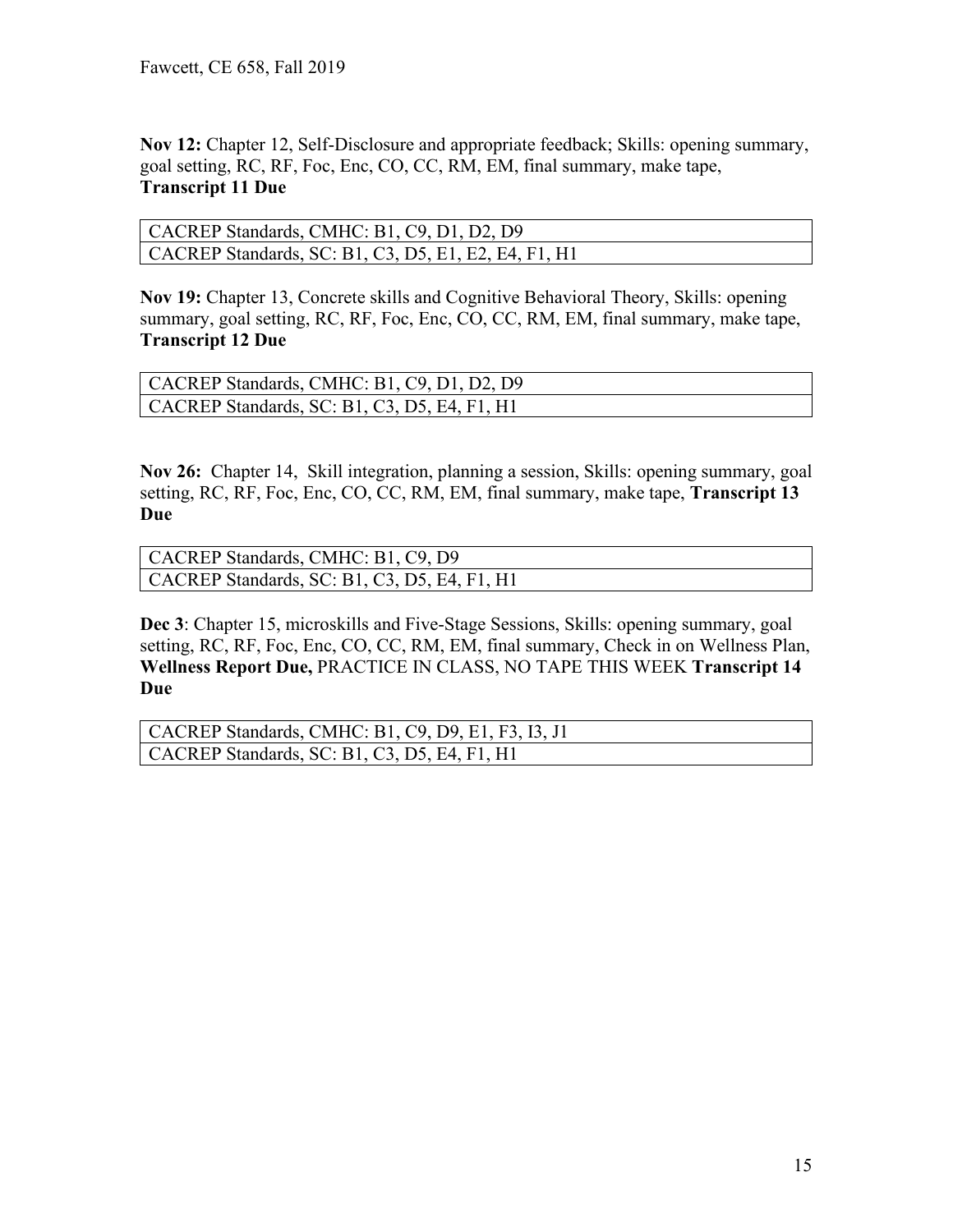**Nov 12:** Chapter 12, Self-Disclosure and appropriate feedback; Skills: opening summary, goal setting, RC, RF, Foc, Enc, CO, CC, RM, EM, final summary, make tape, **Transcript 11 Due**

| CACREP Standards, CMHC: B1, C9, D1, D2, D9                   |
|--------------------------------------------------------------|
| $\vert$ CACREP Standards, SC: B1, C3, D5, E1, E2, E4, F1, H1 |

**Nov 19:** Chapter 13, Concrete skills and Cognitive Behavioral Theory, Skills: opening summary, goal setting, RC, RF, Foc, Enc, CO, CC, RM, EM, final summary, make tape, **Transcript 12 Due**

| CACREP Standards, CMHC: B1, C9, D1, D2, D9           |
|------------------------------------------------------|
| $\vert$ CACREP Standards, SC: B1, C3, D5, E4, F1, H1 |

**Nov 26:** Chapter 14, Skill integration, planning a session, Skills: opening summary, goal setting, RC, RF, Foc, Enc, CO, CC, RM, EM, final summary, make tape, **Transcript 13 Due**

| CACREP Standards, CMHC: B1, C9, D9           |  |
|----------------------------------------------|--|
| CACREP Standards, SC: B1, C3, D5, E4, F1, H1 |  |

**Dec 3**: Chapter 15, microskills and Five-Stage Sessions, Skills: opening summary, goal setting, RC, RF, Foc, Enc, CO, CC, RM, EM, final summary, Check in on Wellness Plan, **Wellness Report Due,** PRACTICE IN CLASS, NO TAPE THIS WEEK **Transcript 14 Due**

```
CACREP Standards, CMHC: B1, C9, D9, E1, F3, I3, J1
CACREP Standards, SC: B1, C3, D5, E4, F1, H1
```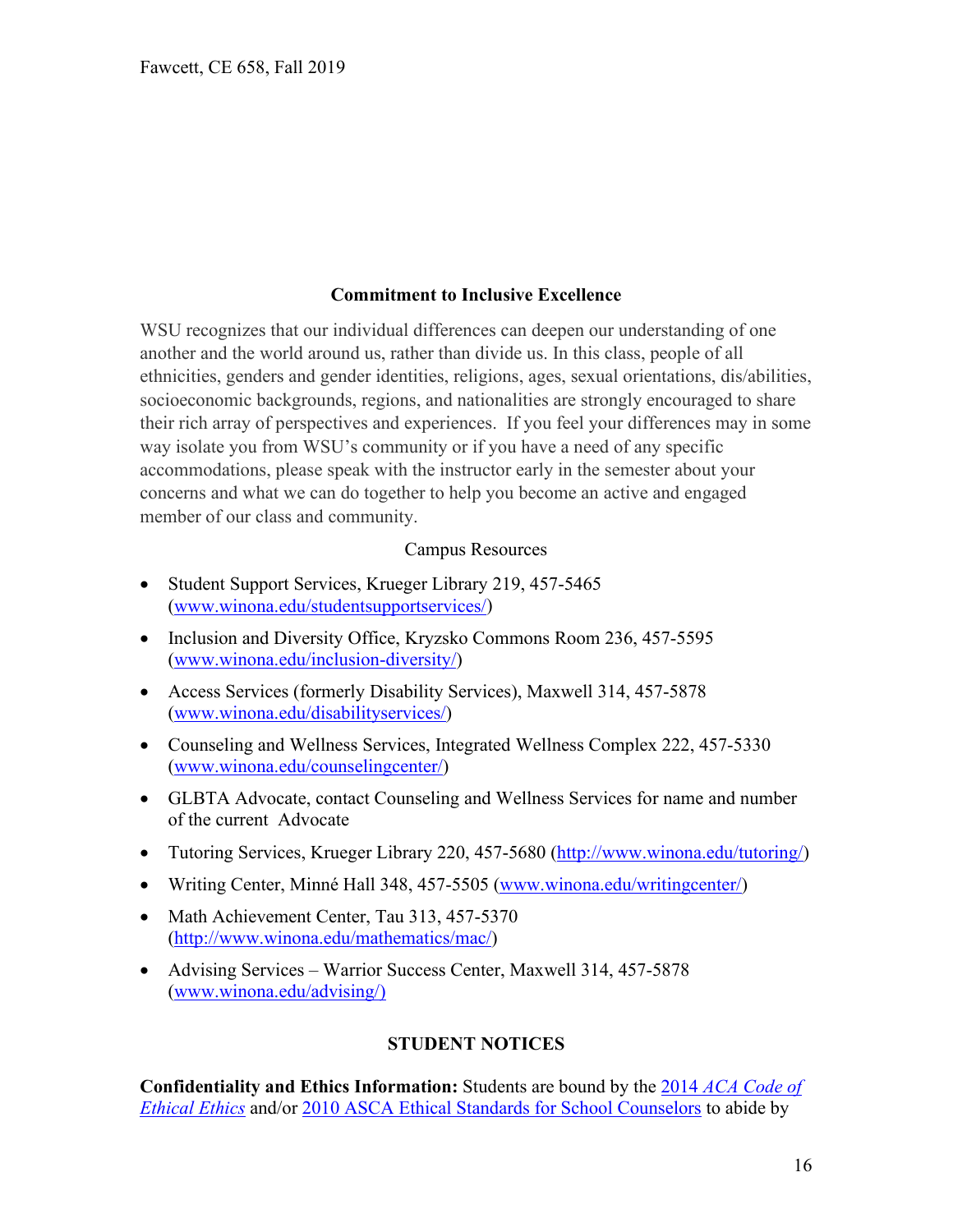### **Commitment to Inclusive Excellence**

WSU recognizes that our individual differences can deepen our understanding of one another and the world around us, rather than divide us. In this class, people of all ethnicities, genders and gender identities, religions, ages, sexual orientations, dis/abilities, socioeconomic backgrounds, regions, and nationalities are strongly encouraged to share their rich array of perspectives and experiences. If you feel your differences may in some way isolate you from WSU's community or if you have a need of any specific accommodations, please speak with the instructor early in the semester about your concerns and what we can do together to help you become an active and engaged member of our class and community.

#### Campus Resources

- Student Support Services, Krueger Library 219, 457-5465 [\(www.winona.edu/studentsupportservices/\)](http://www.winona.edu/studentsupportservices/)
- Inclusion and Diversity Office, Kryzsko Commons Room 236, 457-5595 [\(www.winona.edu/inclusion-diversity/\)](http://www.winona.edu/inclusion-diversity/)
- Access Services (formerly Disability Services), Maxwell 314, 457-5878 [\(www.winona.edu/disabilityservices/\)](http://www.winona.edu/disabilityservices/)
- Counseling and Wellness Services, Integrated Wellness Complex 222, 457-5330 [\(www.winona.edu/counselingcenter/\)](http://www.winona.edu/counselingcenter/)
- GLBTA Advocate, contact Counseling and Wellness Services for name and number of the current Advocate
- Tutoring Services, Krueger Library 220, 457-5680 [\(http://www.winona.edu/tutoring/\)](http://www.winona.edu/tutoring/)
- Writing Center, Minné Hall 348, 457-5505 [\(www.winona.edu/writingcenter/\)](http://www.winona.edu/writingcenter/)
- Math Achievement Center, Tau 313, 457-5370 [\(http://www.winona.edu/mathematics/mac/\)](http://www.winona.edu/mathematics/mac/)
- Advising Services Warrior Success Center, Maxwell 314, 457-5878 [\(www.winona.edu/advising/\)](http://www.winona.edu/advising/))

### **STUDENT NOTICES**

**Confidentiality and Ethics Information:** Students are bound by the 2014 *[ACA Code of](http://www.counseling.org/Resources/aca-code-of-ethics.pdf)  [Ethical Ethics](http://www.counseling.org/Resources/aca-code-of-ethics.pdf)* and/or [2010 ASCA Ethical Standards for School Counselors](http://www.schoolcounselor.org/asca/media/asca/Resource%20Center/Legal%20and%20Ethical%20Issues/Sample%20Documents/EthicalStandards2010.pdf) to abide by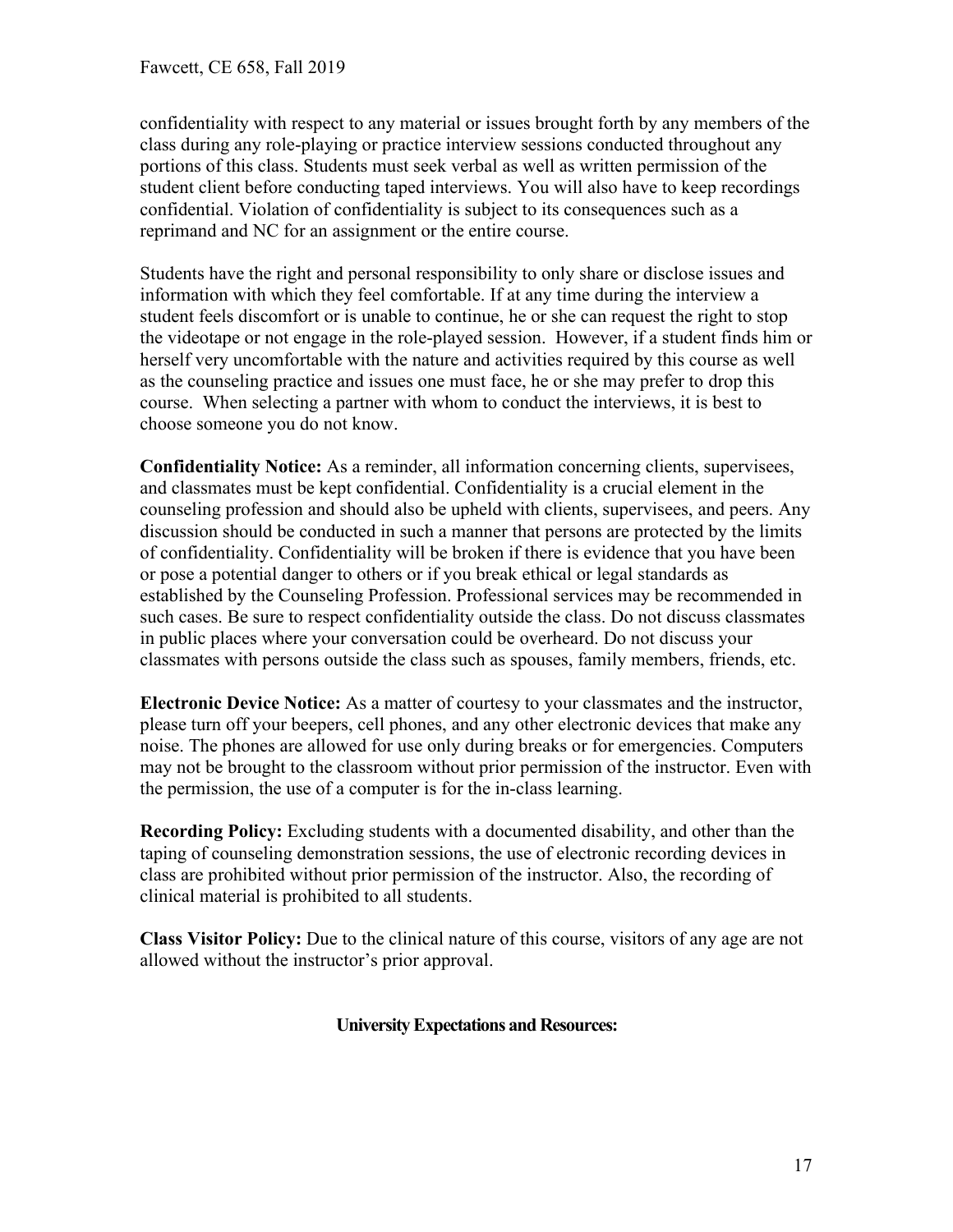confidentiality with respect to any material or issues brought forth by any members of the class during any role-playing or practice interview sessions conducted throughout any portions of this class. Students must seek verbal as well as written permission of the student client before conducting taped interviews. You will also have to keep recordings confidential. Violation of confidentiality is subject to its consequences such as a reprimand and NC for an assignment or the entire course.

Students have the right and personal responsibility to only share or disclose issues and information with which they feel comfortable. If at any time during the interview a student feels discomfort or is unable to continue, he or she can request the right to stop the videotape or not engage in the role-played session. However, if a student finds him or herself very uncomfortable with the nature and activities required by this course as well as the counseling practice and issues one must face, he or she may prefer to drop this course. When selecting a partner with whom to conduct the interviews, it is best to choose someone you do not know.

**Confidentiality Notice:** As a reminder, all information concerning clients, supervisees, and classmates must be kept confidential. Confidentiality is a crucial element in the counseling profession and should also be upheld with clients, supervisees, and peers. Any discussion should be conducted in such a manner that persons are protected by the limits of confidentiality. Confidentiality will be broken if there is evidence that you have been or pose a potential danger to others or if you break ethical or legal standards as established by the Counseling Profession. Professional services may be recommended in such cases. Be sure to respect confidentiality outside the class. Do not discuss classmates in public places where your conversation could be overheard. Do not discuss your classmates with persons outside the class such as spouses, family members, friends, etc.

**Electronic Device Notice:** As a matter of courtesy to your classmates and the instructor, please turn off your beepers, cell phones, and any other electronic devices that make any noise. The phones are allowed for use only during breaks or for emergencies. Computers may not be brought to the classroom without prior permission of the instructor. Even with the permission, the use of a computer is for the in-class learning.

**Recording Policy:** Excluding students with a documented disability, and other than the taping of counseling demonstration sessions, the use of electronic recording devices in class are prohibited without prior permission of the instructor. Also, the recording of clinical material is prohibited to all students.

**Class Visitor Policy:** Due to the clinical nature of this course, visitors of any age are not allowed without the instructor's prior approval.

### **University Expectations and Resources:**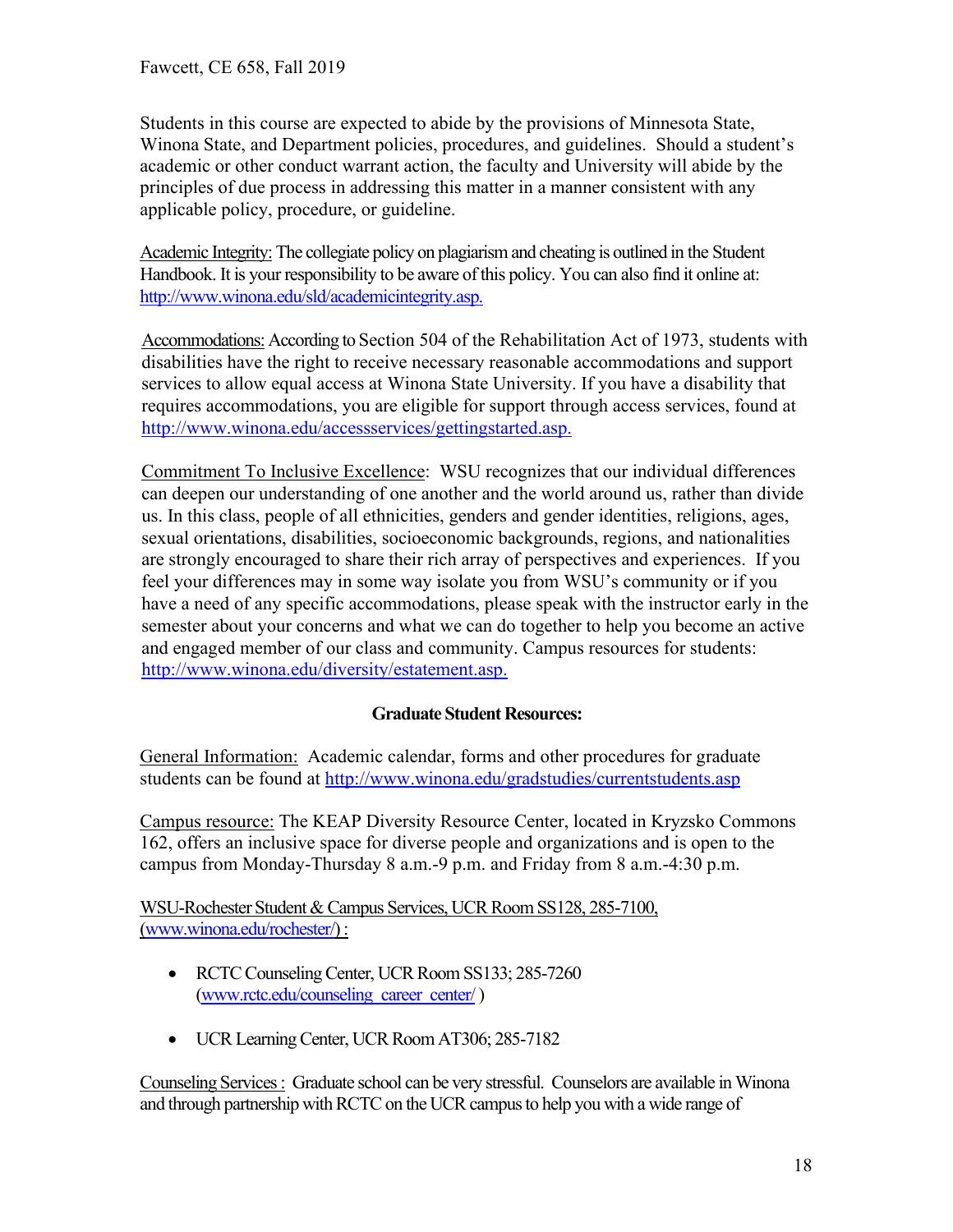Students in this course are expected to abide by the provisions of Minnesota State, Winona State, and Department policies, procedures, and guidelines. Should a student's academic or other conduct warrant action, the faculty and University will abide by the principles of due process in addressing this matter in a manner consistent with any applicable policy, procedure, or guideline.

Academic Integrity: The collegiate policy on plagiarism and cheating is outlined in the Student Handbook. It is your responsibility to be aware of this policy. You can also find it online at: [http://www.winona.edu/sld/academicintegrity.asp.](http://www.winona.edu/sld/academicintegrity.asp)

Accommodations: According to Section 504 of the Rehabilitation Act of 1973, students with disabilities have the right to receive necessary reasonable accommodations and support services to allow equal access at Winona State University. If you have a disability that requires accommodations, you are eligible for support through access services, found at [http://www.winona.edu/accessservices/gettingstarted.asp.](http://www.winona.edu/accessservices/gettingstarted.asp)

Commitment To Inclusive Excellence: WSU recognizes that our individual differences can deepen our understanding of one another and the world around us, rather than divide us. In this class, people of all ethnicities, genders and gender identities, religions, ages, sexual orientations, disabilities, socioeconomic backgrounds, regions, and nationalities are strongly encouraged to share their rich array of perspectives and experiences. If you feel your differences may in some way isolate you from WSU's community or if you have a need of any specific accommodations, please speak with the instructor early in the semester about your concerns and what we can do together to help you become an active and engaged member of our class and community. Campus resources for students: [http://www.winona.edu/diversity/estatement.asp.](http://www.winona.edu/diversity/estatement.asp)

### **Graduate Student Resources:**

General Information: Academic calendar, forms and other procedures for graduate students can be found at<http://www.winona.edu/gradstudies/currentstudents.asp>

Campus resource: The KEAP Diversity Resource Center, located in Kryzsko Commons 162, offers an inclusive space for diverse people and organizations and is open to the campus from Monday-Thursday 8 a.m.-9 p.m. and Friday from 8 a.m.-4:30 p.m.

WSU-Rochester Student & Campus Services, UCR Room SS128, 285-7100, [\(www.winona.edu/rochester/\)](http://www.winona.edu/rochester/) :

- RCTC Counseling Center, UCR Room SS133; 285-7260 [\(www.rctc.edu/counseling\\_career\\_center/](http://www.rctc.edu/counseling_career_center/))
- UCR Learning Center, UCR Room AT306; 285-7182

Counseling Services : Graduate school can be very stressful. Counselors are available in Winona and through partnership with RCTC on the UCR campus to help you with a wide range of